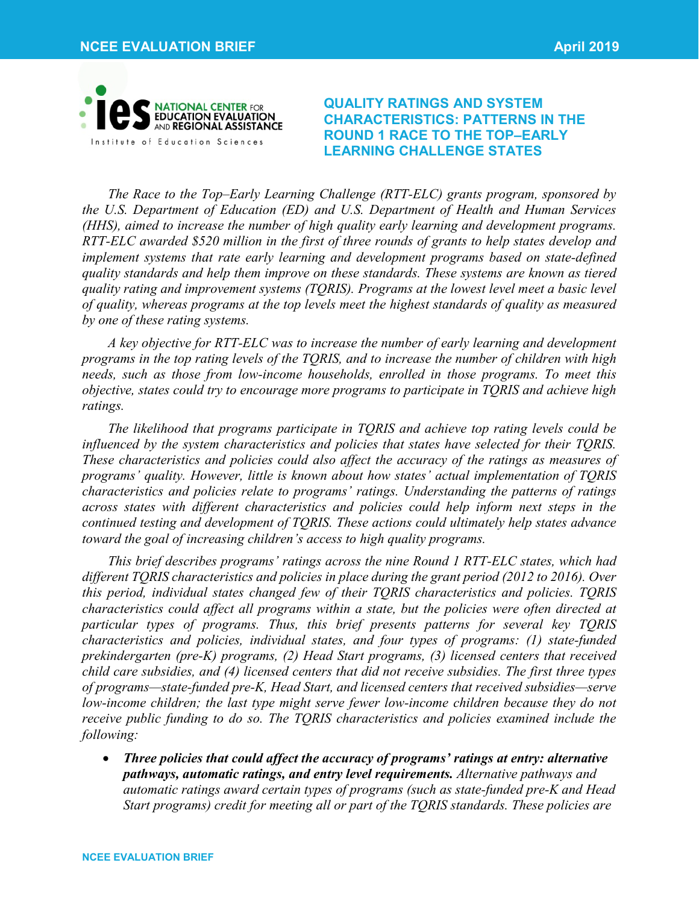

**QUALITY RATINGS AND SYSTEM CHARACTERISTICS: PATTERNS IN THE ROUND 1 RACE TO THE TOP–EARLY LEARNING CHALLENGE STATES**

*The Race to the Top–Early Learning Challenge (RTT-ELC) grants program, sponsored by the U.S. Department of Education (ED) and U.S. Department of Health and Human Services (HHS), aimed to increase the number of high quality early learning and development programs. RTT-ELC awarded \$520 million in the first of three rounds of grants to help states develop and implement systems that rate early learning and development programs based on state-defined quality standards and help them improve on these standards. These systems are known as tiered quality rating and improvement systems (TQRIS). Programs at the lowest level meet a basic level of quality, whereas programs at the top levels meet the highest standards of quality as measured by one of these rating systems.* 

*A key objective for RTT-ELC was to increase the number of early learning and development programs in the top rating levels of the TQRIS, and to increase the number of children with high needs, such as those from low-income households, enrolled in those programs. To meet this objective, states could try to encourage more programs to participate in TQRIS and achieve high ratings.* 

*The likelihood that programs participate in TQRIS and achieve top rating levels could be influenced by the system characteristics and policies that states have selected for their TQRIS. These characteristics and policies could also affect the accuracy of the ratings as measures of programs' quality. However, little is known about how states' actual implementation of TQRIS characteristics and policies relate to programs' ratings. Understanding the patterns of ratings across states with different characteristics and policies could help inform next steps in the continued testing and development of TQRIS. These actions could ultimately help states advance toward the goal of increasing children's access to high quality programs.* 

*This brief describes programs' ratings across the nine Round 1 RTT-ELC states, which had different TQRIS characteristics and policies in place during the grant period (2012 to 2016). Over this period, individual states changed few of their TQRIS characteristics and policies. TQRIS characteristics could affect all programs within a state, but the policies were often directed at particular types of programs. Thus, this brief presents patterns for several key TQRIS characteristics and policies, individual states, and four types of programs: (1) state-funded prekindergarten (pre-K) programs, (2) Head Start programs, (3) licensed centers that received child care subsidies, and (4) licensed centers that did not receive subsidies. The first three types of programs—state-funded pre-K, Head Start, and licensed centers that received subsidies—serve low-income children; the last type might serve fewer low-income children because they do not receive public funding to do so. The TQRIS characteristics and policies examined include the following:* 

• *Three policies that could affect the accuracy of programs' ratings at entry: alternative pathways, automatic ratings, and entry level requirements. Alternative pathways and automatic ratings award certain types of programs (such as state-funded pre-K and Head Start programs) credit for meeting all or part of the TQRIS standards. These policies are*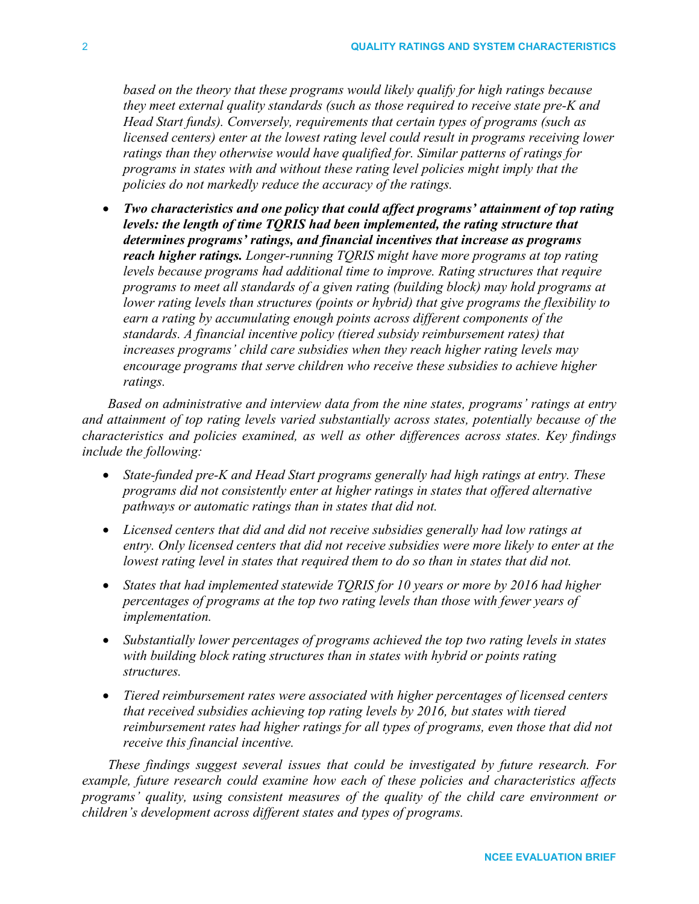*based on the theory that these programs would likely qualify for high ratings because they meet external quality standards (such as those required to receive state pre-K and Head Start funds). Conversely, requirements that certain types of programs (such as licensed centers) enter at the lowest rating level could result in programs receiving lower ratings than they otherwise would have qualified for. Similar patterns of ratings for programs in states with and without these rating level policies might imply that the policies do not markedly reduce the accuracy of the ratings.* 

• *Two characteristics and one policy that could affect programs' attainment of top rating levels: the length of time TQRIS had been implemented, the rating structure that determines programs' ratings, and financial incentives that increase as programs reach higher ratings. Longer-running TQRIS might have more programs at top rating levels because programs had additional time to improve. Rating structures that require programs to meet all standards of a given rating (building block) may hold programs at lower rating levels than structures (points or hybrid) that give programs the flexibility to earn a rating by accumulating enough points across different components of the standards. A financial incentive policy (tiered subsidy reimbursement rates) that increases programs' child care subsidies when they reach higher rating levels may encourage programs that serve children who receive these subsidies to achieve higher ratings.* 

*Based on administrative and interview data from the nine states, programs' ratings at entry and attainment of top rating levels varied substantially across states, potentially because of the characteristics and policies examined, as well as other differences across states. Key findings include the following:* 

- *State-funded pre-K and Head Start programs generally had high ratings at entry. These programs did not consistently enter at higher ratings in states that offered alternative pathways or automatic ratings than in states that did not.*
- *Licensed centers that did and did not receive subsidies generally had low ratings at entry. Only licensed centers that did not receive subsidies were more likely to enter at the lowest rating level in states that required them to do so than in states that did not.*
- *States that had implemented statewide TQRIS for 10 years or more by 2016 had higher percentages of programs at the top two rating levels than those with fewer years of implementation.*
- *Substantially lower percentages of programs achieved the top two rating levels in states with building block rating structures than in states with hybrid or points rating structures.*
- *Tiered reimbursement rates were associated with higher percentages of licensed centers that received subsidies achieving top rating levels by 2016, but states with tiered reimbursement rates had higher ratings for all types of programs, even those that did not receive this financial incentive.*

*These findings suggest several issues that could be investigated by future research. For example, future research could examine how each of these policies and characteristics affects programs' quality, using consistent measures of the quality of the child care environment or children's development across different states and types of programs.*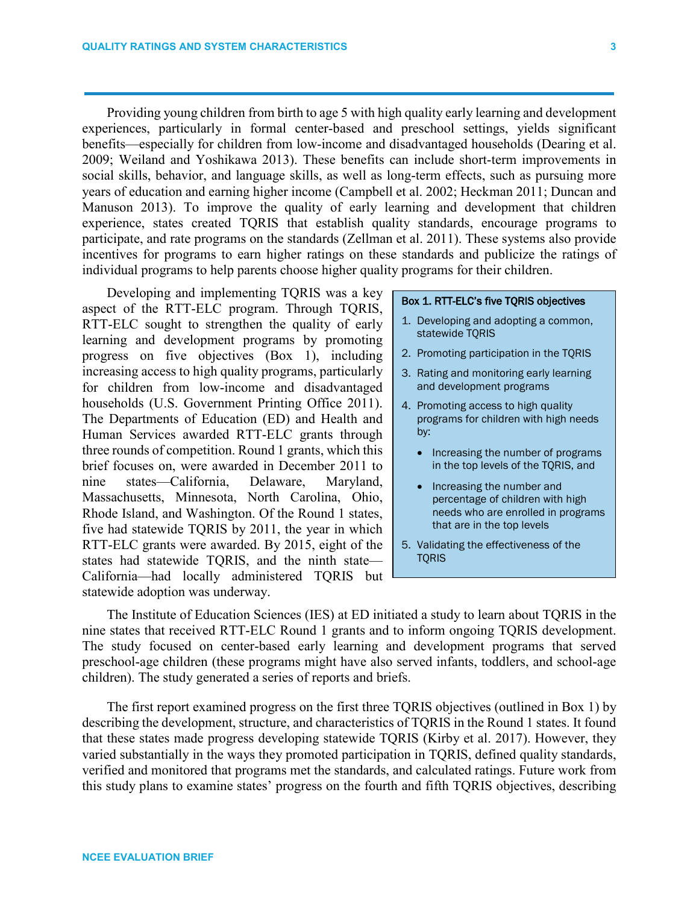Providing young children from birth to age 5 with high quality early learning and development experiences, particularly in formal center-based and preschool settings, yields significant benefits—especially for children from low-income and disadvantaged households (Dearing et al. 2009; Weiland and Yoshikawa 2013). These benefits can include short-term improvements in social skills, behavior, and language skills, as well as long-term effects, such as pursuing more years of education and earning higher income (Campbell et al. 2002; Heckman 2011; Duncan and Manuson 2013). To improve the quality of early learning and development that children experience, states created TQRIS that establish quality standards, encourage programs to participate, and rate programs on the standards (Zellman et al. 2011). These systems also provide incentives for programs to earn higher ratings on these standards and publicize the ratings of individual programs to help parents choose higher quality programs for their children.

Developing and implementing TQRIS was a key aspect of the RTT-ELC program. Through TQRIS, RTT-ELC sought to strengthen the quality of early learning and development programs by promoting progress on five objectives (Box 1), including increasing access to high quality programs, particularly for children from low-income and disadvantaged households (U.S. Government Printing Office 2011). The Departments of Education (ED) and Health and Human Services awarded RTT-ELC grants through three rounds of competition. Round 1 grants, which this brief focuses on, were awarded in December 2011 to nine states—California, Delaware, Maryland, Massachusetts, Minnesota, North Carolina, Ohio, Rhode Island, and Washington. Of the Round 1 states, five had statewide TQRIS by 2011, the year in which RTT-ELC grants were awarded. By 2015, eight of the states had statewide TQRIS, and the ninth state— California—had locally administered TQRIS but statewide adoption was underway.

### Box 1. RTT-ELC's five TQRIS objectives

- 1. Developing and adopting a common, statewide TQRIS
- 2. Promoting participation in the TQRIS
- 3. Rating and monitoring early learning and development programs
- 4. Promoting access to high quality programs for children with high needs by:
	- Increasing the number of programs in the top levels of the TQRIS, and
	- Increasing the number and percentage of children with high needs who are enrolled in programs that are in the top levels
- 5. Validating the effectiveness of the **TQRIS**

The Institute of Education Sciences (IES) at ED initiated a study to learn about TQRIS in the nine states that received RTT-ELC Round 1 grants and to inform ongoing TQRIS development. The study focused on center-based early learning and development programs that served preschool-age children (these programs might have also served infants, toddlers, and school-age children). The study generated a series of reports and briefs.

The first report examined progress on the first three TQRIS objectives (outlined in Box 1) by describing the development, structure, and characteristics of TQRIS in the Round 1 states. It found that these states made progress developing statewide TQRIS (Kirby et al. 2017). However, they varied substantially in the ways they promoted participation in TQRIS, defined quality standards, verified and monitored that programs met the standards, and calculated ratings. Future work from this study plans to examine states' progress on the fourth and fifth TQRIS objectives, describing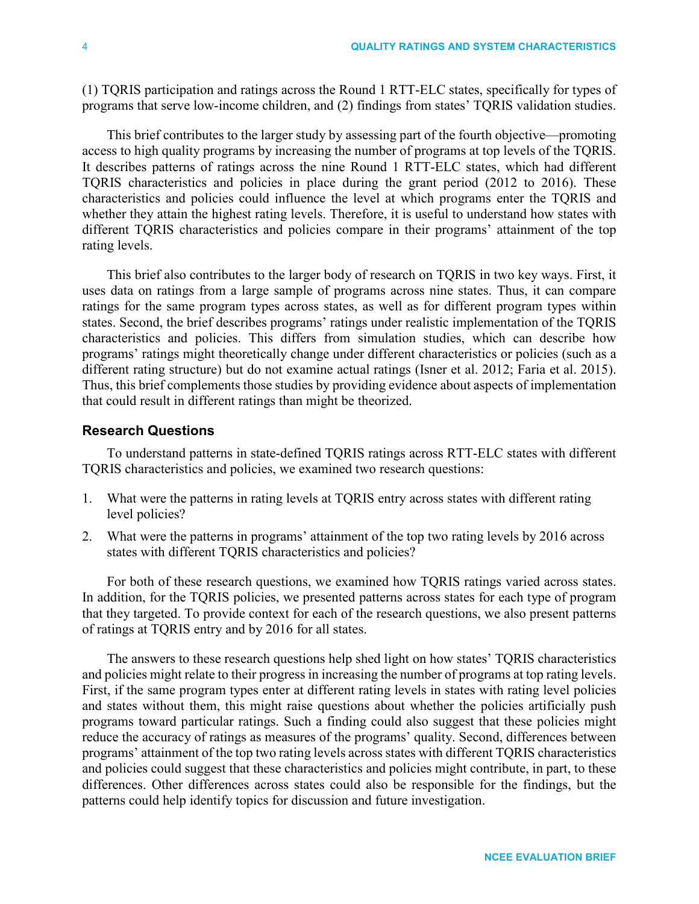(1) TQRIS participation and ratings across the Round 1 RTT-ELC states, specifically for types of programs that serve low-income children, and (2) findings from states' TQRIS validation studies.

This brief contributes to the larger study by assessing part of the fourth objective—promoting access to high quality programs by increasing the number of programs at top levels of the TQRIS. It describes patterns of ratings across the nine Round 1 RTT-ELC states, which had different TQRIS characteristics and policies in place during the grant period (2012 to 2016). These characteristics and policies could influence the level at which programs enter the TQRIS and whether they attain the highest rating levels. Therefore, it is useful to understand how states with different TQRIS characteristics and policies compare in their programs' attainment of the top rating levels.

This brief also contributes to the larger body of research on TQRIS in two key ways. First, it uses data on ratings from a large sample of programs across nine states. Thus, it can compare ratings for the same program types across states, as well as for different program types within states. Second, the brief describes programs' ratings under realistic implementation of the TQRIS characteristics and policies. This differs from simulation studies, which can describe how programs' ratings might theoretically change under different characteristics or policies (such as a different rating structure) but do not examine actual ratings (Isner et al. 2012; Faria et al. 2015). Thus, this brief complements those studies by providing evidence about aspects of implementation that could result in different ratings than might be theorized.

# **Research Questions**

To understand patterns in state-defined TQRIS ratings across RTT-ELC states with different TQRIS characteristics and policies, we examined two research questions:

- 1. What were the patterns in rating levels at TQRIS entry across states with different rating level policies?
- 2. What were the patterns in programs' attainment of the top two rating levels by 2016 across states with different TQRIS characteristics and policies?

For both of these research questions, we examined how TQRIS ratings varied across states. In addition, for the TQRIS policies, we presented patterns across states for each type of program that they targeted. To provide context for each of the research questions, we also present patterns of ratings at TQRIS entry and by 2016 for all states.

The answers to these research questions help shed light on how states' TQRIS characteristics and policies might relate to their progress in increasing the number of programs at top rating levels. First, if the same program types enter at different rating levels in states with rating level policies and states without them, this might raise questions about whether the policies artificially push programs toward particular ratings. Such a finding could also suggest that these policies might reduce the accuracy of ratings as measures of the programs' quality. Second, differences between programs' attainment of the top two rating levels across states with different TQRIS characteristics and policies could suggest that these characteristics and policies might contribute, in part, to these differences. Other differences across states could also be responsible for the findings, but the patterns could help identify topics for discussion and future investigation.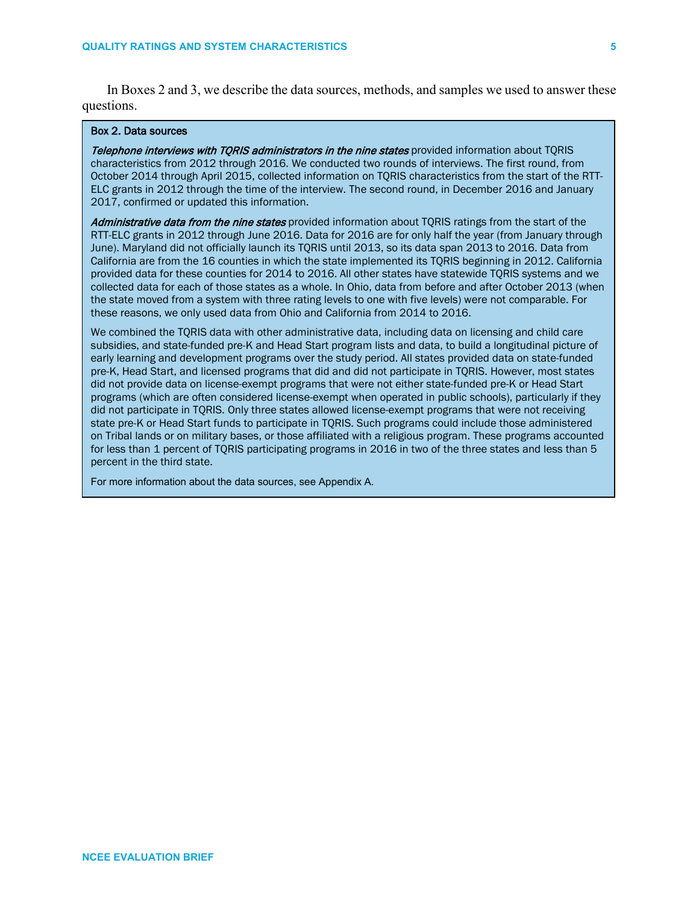In Boxes 2 and 3, we describe the data sources, methods, and samples we used to answer these questions.

### Box 2. Data sources

Telephone interviews with TORIS administrators in the nine states provided information about TORIS characteristics from 2012 through 2016. We conducted two rounds of interviews. The first round, from October 2014 through April 2015, collected information on TQRIS characteristics from the start of the RTT-ELC grants in 2012 through the time of the interview. The second round, in December 2016 and January 2017, confirmed or updated this information.

Administrative data from the nine states provided information about TQRIS ratings from the start of the RTT-ELC grants in 2012 through June 2016. Data for 2016 are for only half the year (from January through June). Maryland did not officially launch its TQRIS until 2013, so its data span 2013 to 2016. Data from California are from the 16 counties in which the state implemented its TQRIS beginning in 2012. California provided data for these counties for 2014 to 2016. All other states have statewide TQRIS systems and we collected data for each of those states as a whole. In Ohio, data from before and after October 2013 (when the state moved from a system with three rating levels to one with five levels) were not comparable. For these reasons, we only used data from Ohio and California from 2014 to 2016.

We combined the TQRIS data with other administrative data, including data on licensing and child care subsidies, and state-funded pre-K and Head Start program lists and data, to build a longitudinal picture of early learning and development programs over the study period. All states provided data on state-funded pre-K, Head Start, and licensed programs that did and did not participate in TQRIS. However, most states did not provide data on license-exempt programs that were not either state-funded pre-K or Head Start programs (which are often considered license-exempt when operated in public schools), particularly if they did not participate in TQRIS. Only three states allowed license-exempt programs that were not receiving state pre-K or Head Start funds to participate in TQRIS. Such programs could include those administered on Tribal lands or on military bases, or those affiliated with a religious program. These programs accounted for less than 1 percent of TQRIS participating programs in 2016 in two of the three states and less than 5 percent in the third state.

For more information about the data sources, see Appendix A.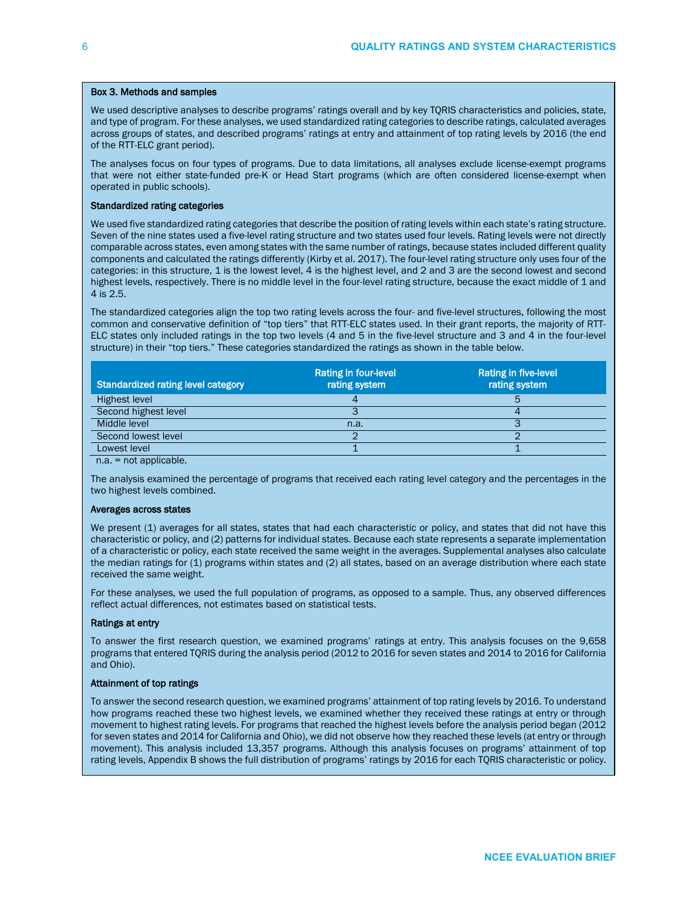#### Box 3. Methods and samples

We used descriptive analyses to describe programs' ratings overall and by key TQRIS characteristics and policies, state, and type of program. For these analyses, we used standardized rating categories to describe ratings, calculated averages across groups of states, and described programs' ratings at entry and attainment of top rating levels by 2016 (the end of the RTT-ELC grant period).

The analyses focus on four types of programs. Due to data limitations, all analyses exclude license-exempt programs that were not either state-funded pre-K or Head Start programs (which are often considered license-exempt when operated in public schools).

#### Standardized rating categories

We used five standardized rating categories that describe the position of rating levels within each state's rating structure. Seven of the nine states used a five-level rating structure and two states used four levels. Rating levels were not directly comparable across states, even among states with the same number of ratings, because states included different quality components and calculated the ratings differently (Kirby et al. 2017). The four-level rating structure only uses four of the categories: in this structure, 1 is the lowest level, 4 is the highest level, and 2 and 3 are the second lowest and second highest levels, respectively. There is no middle level in the four-level rating structure, because the exact middle of 1 and 4 is 2.5.

The standardized categories align the top two rating levels across the four- and five-level structures, following the most common and conservative definition of "top tiers" that RTT-ELC states used. In their grant reports, the majority of RTT-ELC states only included ratings in the top two levels (4 and 5 in the five-level structure and 3 and 4 in the four-level structure) in their "top tiers." These categories standardized the ratings as shown in the table below.

| <b>Standardized rating level category</b> | <b>Rating in four-level</b><br>rating system | <b>Rating in five-level</b><br>rating system |
|-------------------------------------------|----------------------------------------------|----------------------------------------------|
| Highest level                             |                                              |                                              |
| Second highest level                      |                                              |                                              |
| Middle level                              | n.a.                                         |                                              |
| Second lowest level                       |                                              |                                              |
| Lowest level                              |                                              |                                              |

n.a. = not applicable.

The analysis examined the percentage of programs that received each rating level category and the percentages in the two highest levels combined.

#### Averages across states

We present (1) averages for all states, states that had each characteristic or policy, and states that did not have this characteristic or policy, and (2) patterns for individual states. Because each state represents a separate implementation of a characteristic or policy, each state received the same weight in the averages. Supplemental analyses also calculate the median ratings for (1) programs within states and (2) all states, based on an average distribution where each state received the same weight.

For these analyses, we used the full population of programs, as opposed to a sample. Thus, any observed differences reflect actual differences, not estimates based on statistical tests.

#### Ratings at entry

To answer the first research question, we examined programs' ratings at entry. This analysis focuses on the 9,658 programs that entered TQRIS during the analysis period (2012 to 2016 for seven states and 2014 to 2016 for California and Ohio).

#### Attainment of top ratings

To answer the second research question, we examined programs' attainment of top rating levels by 2016. To understand how programs reached these two highest levels, we examined whether they received these ratings at entry or through movement to highest rating levels. For programs that reached the highest levels before the analysis period began (2012 for seven states and 2014 for California and Ohio), we did not observe how they reached these levels (at entry or through movement). This analysis included 13,357 programs. Although this analysis focuses on programs' attainment of top rating levels, Appendix B shows the full distribution of programs' ratings by 2016 for each TQRIS characteristic or policy.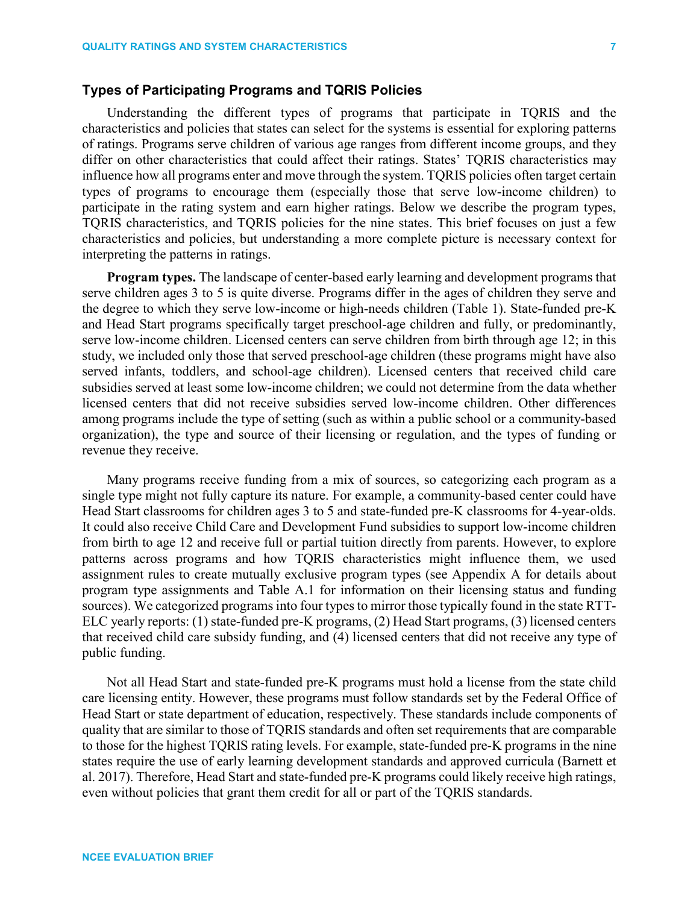# **Types of Participating Programs and TQRIS Policies**

Understanding the different types of programs that participate in TQRIS and the characteristics and policies that states can select for the systems is essential for exploring patterns of ratings. Programs serve children of various age ranges from different income groups, and they differ on other characteristics that could affect their ratings. States' TQRIS characteristics may influence how all programs enter and move through the system. TQRIS policies often target certain types of programs to encourage them (especially those that serve low-income children) to participate in the rating system and earn higher ratings. Below we describe the program types, TQRIS characteristics, and TQRIS policies for the nine states. This brief focuses on just a few characteristics and policies, but understanding a more complete picture is necessary context for interpreting the patterns in ratings.

**Program types.** The landscape of center-based early learning and development programs that serve children ages 3 to 5 is quite diverse. Programs differ in the ages of children they serve and the degree to which they serve low-income or high-needs children (Table 1). State-funded pre-K and Head Start programs specifically target preschool-age children and fully, or predominantly, serve low-income children. Licensed centers can serve children from birth through age 12; in this study, we included only those that served preschool-age children (these programs might have also served infants, toddlers, and school-age children). Licensed centers that received child care subsidies served at least some low-income children; we could not determine from the data whether licensed centers that did not receive subsidies served low-income children. Other differences among programs include the type of setting (such as within a public school or a community-based organization), the type and source of their licensing or regulation, and the types of funding or revenue they receive.

Many programs receive funding from a mix of sources, so categorizing each program as a single type might not fully capture its nature. For example, a community-based center could have Head Start classrooms for children ages 3 to 5 and state-funded pre-K classrooms for 4-year-olds. It could also receive Child Care and Development Fund subsidies to support low-income children from birth to age 12 and receive full or partial tuition directly from parents. However, to explore patterns across programs and how TQRIS characteristics might influence them, we used assignment rules to create mutually exclusive program types (see Appendix A for details about program type assignments and Table A.1 for information on their licensing status and funding sources). We categorized programs into four types to mirror those typically found in the state RTT-ELC yearly reports: (1) state-funded pre-K programs, (2) Head Start programs, (3) licensed centers that received child care subsidy funding, and (4) licensed centers that did not receive any type of public funding.

Not all Head Start and state-funded pre-K programs must hold a license from the state child care licensing entity. However, these programs must follow standards set by the Federal Office of Head Start or state department of education, respectively. These standards include components of quality that are similar to those of TQRIS standards and often set requirements that are comparable to those for the highest TQRIS rating levels. For example, state-funded pre-K programs in the nine states require the use of early learning development standards and approved curricula (Barnett et al. 2017). Therefore, Head Start and state-funded pre-K programs could likely receive high ratings, even without policies that grant them credit for all or part of the TQRIS standards.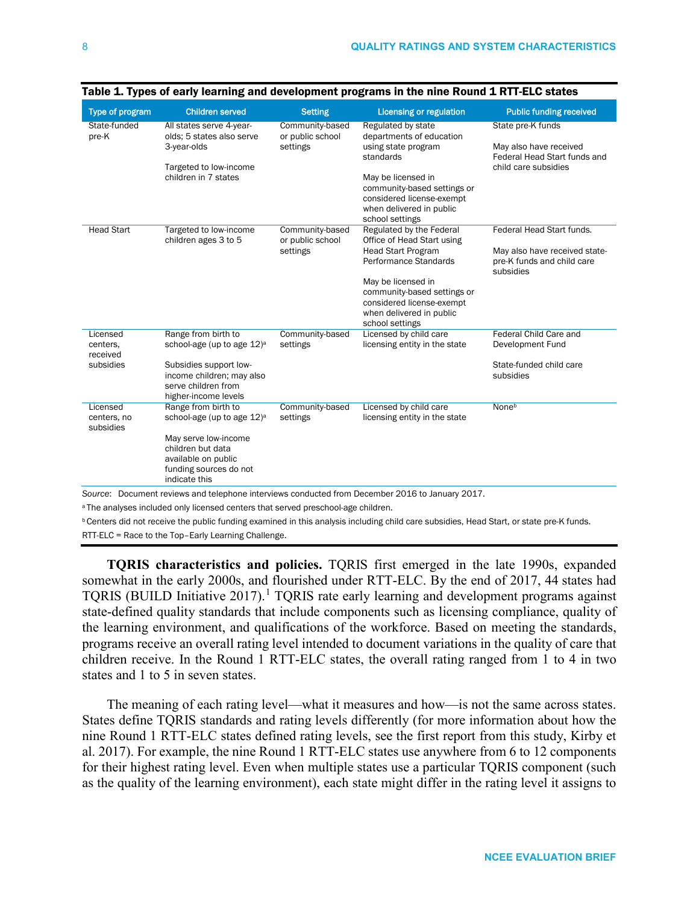| <b>Type of program</b>                        | <b>Children served</b>                                                                                                                                                       | <b>Setting</b>                                                                                                   | <b>Licensing or regulation</b>                                                                                                                                                                                                                | <b>Public funding received</b>                                                                        |
|-----------------------------------------------|------------------------------------------------------------------------------------------------------------------------------------------------------------------------------|------------------------------------------------------------------------------------------------------------------|-----------------------------------------------------------------------------------------------------------------------------------------------------------------------------------------------------------------------------------------------|-------------------------------------------------------------------------------------------------------|
| State-funded<br>pre-K                         | All states serve 4-year-<br>olds; 5 states also serve<br>3-year-olds<br>Targeted to low-income<br>children in 7 states                                                       | Community-based<br>or public school<br>settings                                                                  | Regulated by state<br>departments of education<br>using state program<br>standards<br>May be licensed in<br>community-based settings or<br>considered license-exempt<br>when delivered in public<br>school settings                           | State pre-K funds<br>May also have received<br>Federal Head Start funds and<br>child care subsidies   |
| <b>Head Start</b>                             | Targeted to low-income<br>children ages 3 to 5                                                                                                                               | Community-based<br>or public school<br>settings                                                                  | Regulated by the Federal<br>Office of Head Start using<br><b>Head Start Program</b><br>Performance Standards<br>May be licensed in<br>community-based settings or<br>considered license-exempt<br>when delivered in public<br>school settings | Federal Head Start funds.<br>May also have received state-<br>pre-K funds and child care<br>subsidies |
| Licensed<br>centers.<br>received<br>subsidies | Range from birth to<br>school-age (up to age 12) <sup>a</sup><br>Subsidies support low-<br>income children; may also<br>serve children from<br>higher-income levels          | Community-based<br>settings                                                                                      | Licensed by child care<br>licensing entity in the state                                                                                                                                                                                       | Federal Child Care and<br>Development Fund<br>State-funded child care<br>subsidies                    |
| Licensed<br>centers, no<br>subsidies          | Range from birth to<br>school-age (up to age 12) <sup>a</sup><br>May serve low-income<br>children but data<br>available on public<br>funding sources do not<br>indicate this | Community-based<br>settings<br>$\mathcal{A}$ and $\mathcal{A}$ and $\mathcal{A}$ are all $\mathcal{A}$ . The set | Licensed by child care<br>licensing entity in the state<br>$1 - 20040 + 1 - 1$<br>0.047                                                                                                                                                       | None <sup>b</sup>                                                                                     |

|  |  |  |  |  |  |  |  | Table 1. Types of early learning and development programs in the nine Round 1 RTT-ELC states |
|--|--|--|--|--|--|--|--|----------------------------------------------------------------------------------------------|
|--|--|--|--|--|--|--|--|----------------------------------------------------------------------------------------------|

*Source*: Document reviews and telephone interviews conducted from December 2016 to January 2017.

a The analyses included only licensed centers that served preschool-age children.

**b Centers did not receive the public funding examined in this analysis including child care subsidies, Head Start, or state pre-K funds.** 

RTT-ELC = Race to the Top–Early Learning Challenge.

**TQRIS characteristics and policies.** TQRIS first emerged in the late 1990s, expanded somewhat in the early 2000s, and flourished under RTT-ELC. By the end of 2017, 44 states had TQRIS (BUILD Initiative 20[1](#page-35-0)7).<sup>1</sup> TQRIS rate early learning and development programs against state-defined quality standards that include components such as licensing compliance, quality of the learning environment, and qualifications of the workforce. Based on meeting the standards, programs receive an overall rating level intended to document variations in the quality of care that children receive. In the Round 1 RTT-ELC states, the overall rating ranged from 1 to 4 in two states and 1 to 5 in seven states.

The meaning of each rating level—what it measures and how—is not the same across states. States define TQRIS standards and rating levels differently (for more information about how the nine Round 1 RTT-ELC states defined rating levels, see the first report from this study, Kirby et al. 2017). For example, the nine Round 1 RTT-ELC states use anywhere from 6 to 12 components for their highest rating level. Even when multiple states use a particular TQRIS component (such as the quality of the learning environment), each state might differ in the rating level it assigns to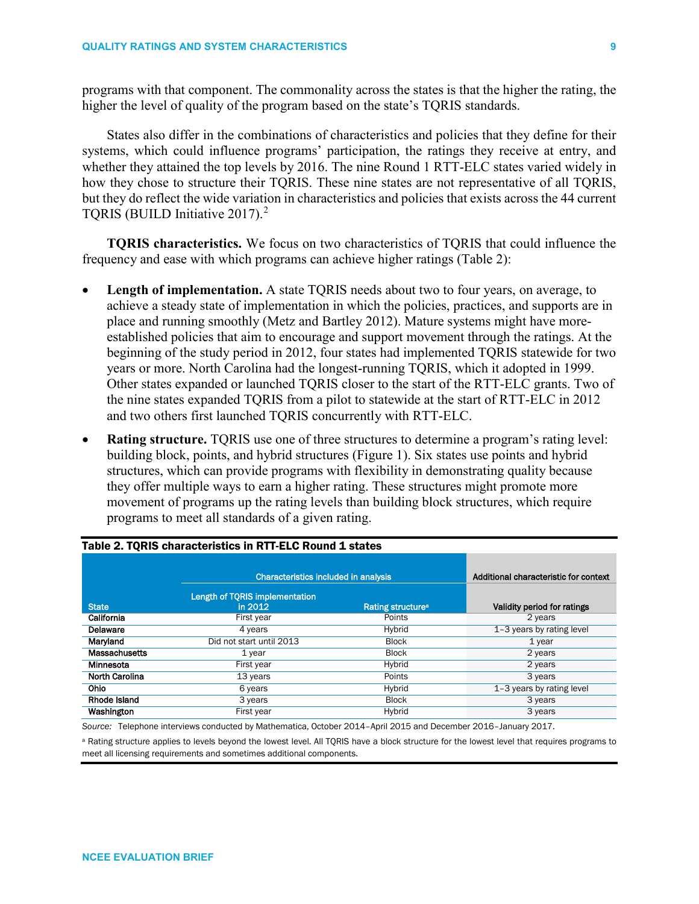programs with that component. The commonality across the states is that the higher the rating, the higher the level of quality of the program based on the state's TQRIS standards.

States also differ in the combinations of characteristics and policies that they define for their systems, which could influence programs' participation, the ratings they receive at entry, and whether they attained the top levels by 2016. The nine Round 1 RTT-ELC states varied widely in how they chose to structure their TQRIS. These nine states are not representative of all TQRIS, but they do reflect the wide variation in characteristics and policies that exists across the 44 current TQRIS (BUILD Initiative [2](#page-35-1)017).<sup>2</sup>

**TQRIS characteristics.** We focus on two characteristics of TQRIS that could influence the frequency and ease with which programs can achieve higher ratings (Table 2):

- **Length of implementation.** A state TQRIS needs about two to four years, on average, to achieve a steady state of implementation in which the policies, practices, and supports are in place and running smoothly (Metz and Bartley 2012). Mature systems might have moreestablished policies that aim to encourage and support movement through the ratings. At the beginning of the study period in 2012, four states had implemented TQRIS statewide for two years or more. North Carolina had the longest-running TQRIS, which it adopted in 1999. Other states expanded or launched TQRIS closer to the start of the RTT-ELC grants. Two of the nine states expanded TQRIS from a pilot to statewide at the start of RTT-ELC in 2012 and two others first launched TQRIS concurrently with RTT-ELC.
- **Rating structure.** TQRIS use one of three structures to determine a program's rating level: building block, points, and hybrid structures (Figure 1). Six states use points and hybrid structures, which can provide programs with flexibility in demonstrating quality because they offer multiple ways to earn a higher rating. These structures might promote more movement of programs up the rating levels than building block structures, which require programs to meet all standards of a given rating.

|                       | <b>Characteristics included in analysis</b> | Additional characteristic for context |                             |
|-----------------------|---------------------------------------------|---------------------------------------|-----------------------------|
| <b>State</b>          | Length of TQRIS implementation<br>in 2012   | Rating structure <sup>a</sup>         | Validity period for ratings |
| California            | First year                                  | Points                                | 2 years                     |
| Delaware              | 4 years                                     | Hybrid                                | 1-3 years by rating level   |
| Maryland              | Did not start until 2013                    | <b>Block</b>                          | 1 year                      |
| <b>Massachusetts</b>  | 1 year                                      | <b>Block</b>                          | 2 years                     |
| Minnesota             | First year                                  | Hybrid                                | 2 years                     |
| <b>North Carolina</b> | 13 years                                    | Points                                | 3 years                     |
| <b>Ohio</b>           | 6 years                                     | Hybrid                                | 1-3 years by rating level   |
| Rhode Island          | 3 years                                     | <b>Block</b>                          | 3 years                     |
| Washington            | First year                                  | Hybrid                                | 3 years                     |

## Table 2. TQRIS characteristics in RTT-ELC Round 1 states

*Source:* Telephone interviews conducted by Mathematica, October 2014–April 2015 and December 2016–January 2017.

a Rating structure applies to levels beyond the lowest level. All TQRIS have a block structure for the lowest level that requires programs to meet all licensing requirements and sometimes additional components.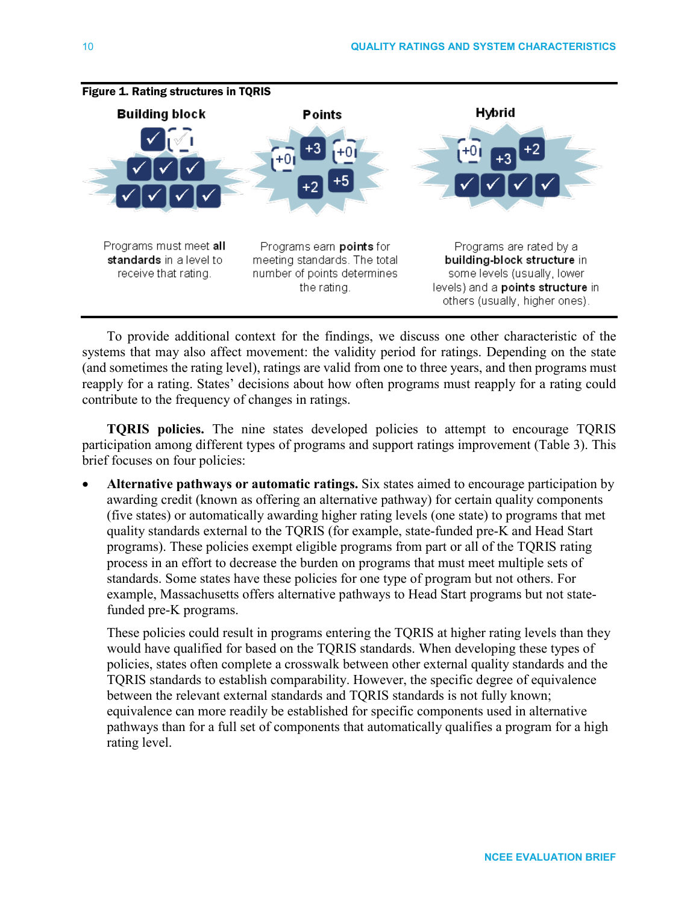

# Figure 1. Rating structures in TQRIS

To provide additional context for the findings, we discuss one other characteristic of the systems that may also affect movement: the validity period for ratings. Depending on the state (and sometimes the rating level), ratings are valid from one to three years, and then programs must reapply for a rating. States' decisions about how often programs must reapply for a rating could contribute to the frequency of changes in ratings.

**TQRIS policies.** The nine states developed policies to attempt to encourage TQRIS participation among different types of programs and support ratings improvement (Table 3). This brief focuses on four policies:

• **Alternative pathways or automatic ratings.** Six states aimed to encourage participation by awarding credit (known as offering an alternative pathway) for certain quality components (five states) or automatically awarding higher rating levels (one state) to programs that met quality standards external to the TQRIS (for example, state-funded pre-K and Head Start programs). These policies exempt eligible programs from part or all of the TQRIS rating process in an effort to decrease the burden on programs that must meet multiple sets of standards. Some states have these policies for one type of program but not others. For example, Massachusetts offers alternative pathways to Head Start programs but not statefunded pre-K programs.

These policies could result in programs entering the TQRIS at higher rating levels than they would have qualified for based on the TQRIS standards. When developing these types of policies, states often complete a crosswalk between other external quality standards and the TQRIS standards to establish comparability. However, the specific degree of equivalence between the relevant external standards and TQRIS standards is not fully known; equivalence can more readily be established for specific components used in alternative pathways than for a full set of components that automatically qualifies a program for a high rating level.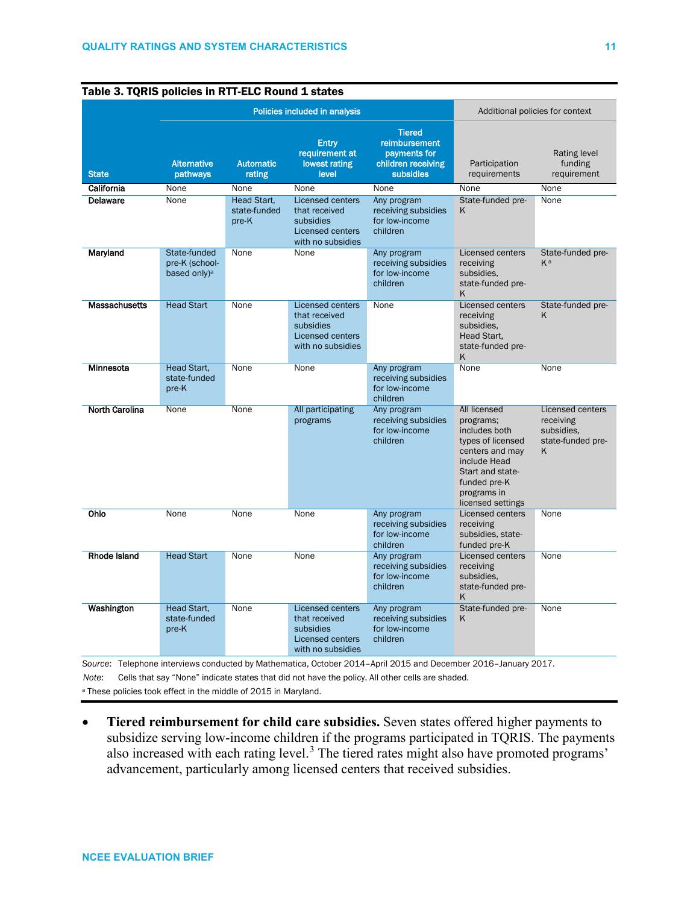|                       |                                                            | Policies included in analysis               | Additional policies for context                                                                       |                                                                                   |                                                                                                                                                                                   |                                                                       |
|-----------------------|------------------------------------------------------------|---------------------------------------------|-------------------------------------------------------------------------------------------------------|-----------------------------------------------------------------------------------|-----------------------------------------------------------------------------------------------------------------------------------------------------------------------------------|-----------------------------------------------------------------------|
| <b>State</b>          | <b>Alternative</b><br>pathways                             | <b>Automatic</b><br>rating                  | <b>Entry</b><br>requirement at<br>lowest rating<br>level                                              | <b>Tiered</b><br>reimbursement<br>payments for<br>children receiving<br>subsidies | Participation<br>requirements                                                                                                                                                     | Rating level<br>funding<br>requirement                                |
| California            | None                                                       | None                                        | None                                                                                                  | None                                                                              | None                                                                                                                                                                              | None                                                                  |
| Delaware              | None                                                       | <b>Head Start.</b><br>state-funded<br>pre-K | <b>Licensed centers</b><br>that received<br>subsidies<br><b>Licensed centers</b><br>with no subsidies | Any program<br>receiving subsidies<br>for low-income<br>children                  | State-funded pre-<br>K                                                                                                                                                            | None                                                                  |
| Maryland              | State-funded<br>pre-K (school-<br>based only) <sup>a</sup> | <b>None</b>                                 | <b>None</b>                                                                                           | Any program<br>receiving subsidies<br>for low-income<br>children                  | <b>Licensed centers</b><br>receiving<br>subsidies,<br>state-funded pre-<br>K                                                                                                      | State-funded pre-<br>Ka                                               |
| <b>Massachusetts</b>  | <b>Head Start</b>                                          | None                                        | <b>Licensed centers</b><br>that received<br>subsidies<br>Licensed centers<br>with no subsidies        | None                                                                              | Licensed centers<br>receiving<br>subsidies,<br>Head Start,<br>state-funded pre-<br>Κ                                                                                              | State-funded pre-<br>K                                                |
| Minnesota             | Head Start.<br>state-funded<br>pre-K                       | None                                        | None                                                                                                  | Any program<br>receiving subsidies<br>for low-income<br>children                  | <b>None</b>                                                                                                                                                                       | None                                                                  |
| <b>North Carolina</b> | None                                                       | None                                        | All participating<br>programs                                                                         | Any program<br>receiving subsidies<br>for low-income<br>children                  | <b>All licensed</b><br>programs;<br>includes both<br>types of licensed<br>centers and may<br>include Head<br>Start and state-<br>funded pre-K<br>programs in<br>licensed settings | Licensed centers<br>receiving<br>subsidies.<br>state-funded pre-<br>K |
| Ohio                  | None                                                       | None                                        | None                                                                                                  | Any program<br>receiving subsidies<br>for low-income<br>children                  | Licensed centers<br>receiving<br>subsidies, state-<br>funded pre-K                                                                                                                | None                                                                  |
| Rhode Island          | <b>Head Start</b>                                          | None                                        | None                                                                                                  | Any program<br>receiving subsidies<br>for low-income<br>children                  | Licensed centers<br>receiving<br>subsidies.<br>state-funded pre-<br>Κ                                                                                                             | None                                                                  |
| Washington            | Head Start,<br>state-funded<br>pre-K                       | None                                        | <b>Licensed centers</b><br>that received<br>subsidies<br>Licensed centers<br>with no subsidies        | Any program<br>receiving subsidies<br>for low-income<br>children                  | State-funded pre-<br>Κ                                                                                                                                                            | None                                                                  |

# Table 3. TQRIS policies in RTT-ELC Round 1 states

*Note*: Cells that say "None" indicate states that did not have the policy. All other cells are shaded.

<sup>a</sup> These policies took effect in the middle of 2015 in Maryland.

• **Tiered reimbursement for child care subsidies.** Seven states offered higher payments to subsidize serving low-income children if the programs participated in TQRIS. The payments also increased with each rating level.<sup>[3](#page-35-2)</sup> The tiered rates might also have promoted programs' advancement, particularly among licensed centers that received subsidies.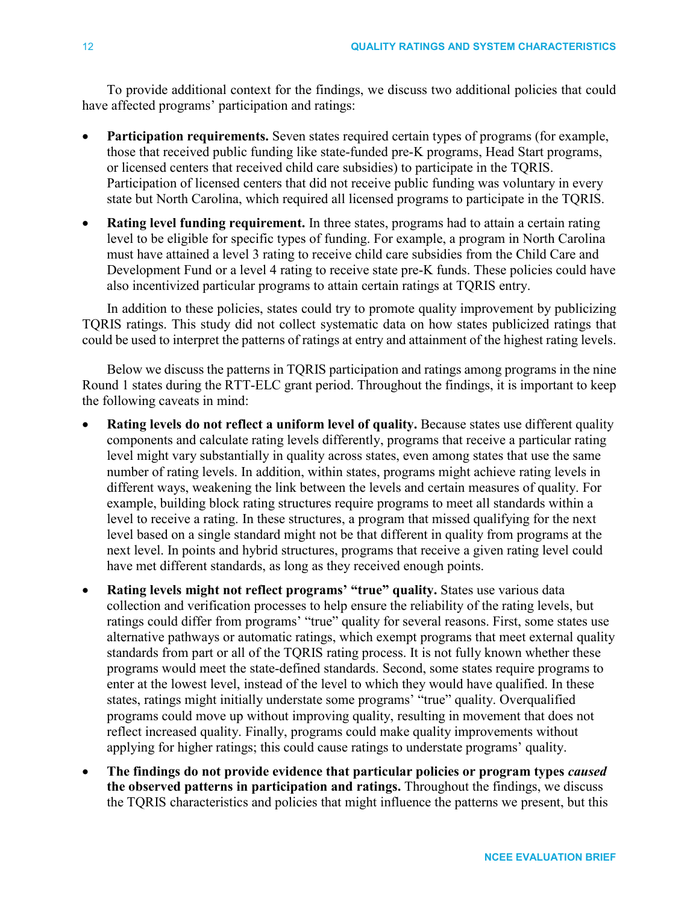To provide additional context for the findings, we discuss two additional policies that could have affected programs' participation and ratings:

- **Participation requirements.** Seven states required certain types of programs (for example, those that received public funding like state-funded pre-K programs, Head Start programs, or licensed centers that received child care subsidies) to participate in the TQRIS. Participation of licensed centers that did not receive public funding was voluntary in every state but North Carolina, which required all licensed programs to participate in the TQRIS.
- **Rating level funding requirement.** In three states, programs had to attain a certain rating level to be eligible for specific types of funding. For example, a program in North Carolina must have attained a level 3 rating to receive child care subsidies from the Child Care and Development Fund or a level 4 rating to receive state pre-K funds. These policies could have also incentivized particular programs to attain certain ratings at TQRIS entry.

In addition to these policies, states could try to promote quality improvement by publicizing TQRIS ratings. This study did not collect systematic data on how states publicized ratings that could be used to interpret the patterns of ratings at entry and attainment of the highest rating levels.

Below we discuss the patterns in TQRIS participation and ratings among programs in the nine Round 1 states during the RTT-ELC grant period. Throughout the findings, it is important to keep the following caveats in mind:

- **Rating levels do not reflect a uniform level of quality.** Because states use different quality components and calculate rating levels differently, programs that receive a particular rating level might vary substantially in quality across states, even among states that use the same number of rating levels. In addition, within states, programs might achieve rating levels in different ways, weakening the link between the levels and certain measures of quality. For example, building block rating structures require programs to meet all standards within a level to receive a rating. In these structures, a program that missed qualifying for the next level based on a single standard might not be that different in quality from programs at the next level. In points and hybrid structures, programs that receive a given rating level could have met different standards, as long as they received enough points.
- **Rating levels might not reflect programs' "true" quality.** States use various data collection and verification processes to help ensure the reliability of the rating levels, but ratings could differ from programs' "true" quality for several reasons. First, some states use alternative pathways or automatic ratings, which exempt programs that meet external quality standards from part or all of the TQRIS rating process. It is not fully known whether these programs would meet the state-defined standards. Second, some states require programs to enter at the lowest level, instead of the level to which they would have qualified. In these states, ratings might initially understate some programs' "true" quality. Overqualified programs could move up without improving quality, resulting in movement that does not reflect increased quality. Finally, programs could make quality improvements without applying for higher ratings; this could cause ratings to understate programs' quality.
- **The findings do not provide evidence that particular policies or program types** *caused* **the observed patterns in participation and ratings.** Throughout the findings, we discuss the TQRIS characteristics and policies that might influence the patterns we present, but this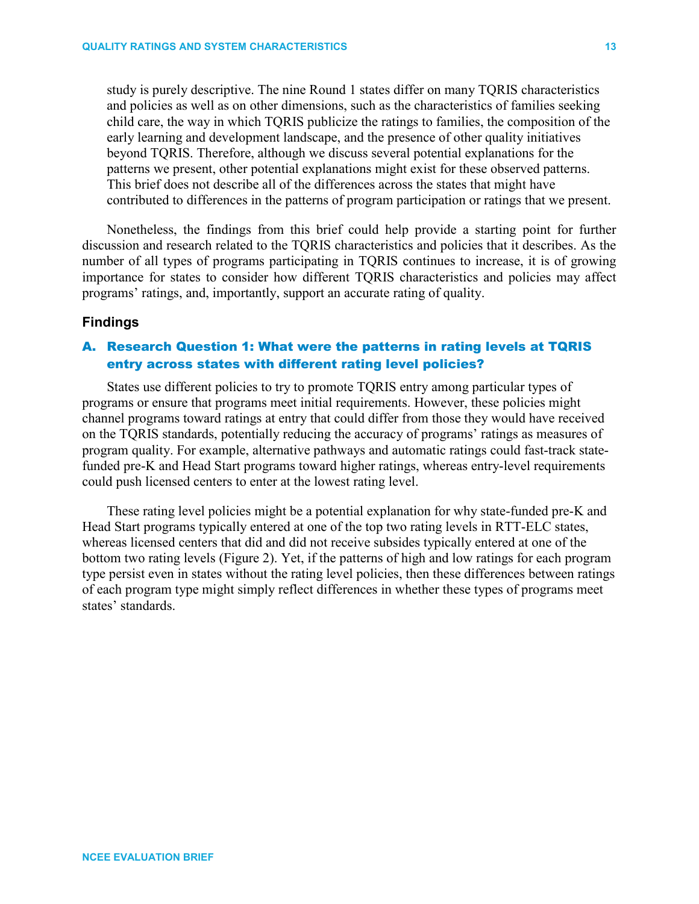study is purely descriptive. The nine Round 1 states differ on many TQRIS characteristics and policies as well as on other dimensions, such as the characteristics of families seeking child care, the way in which TQRIS publicize the ratings to families, the composition of the early learning and development landscape, and the presence of other quality initiatives beyond TQRIS. Therefore, although we discuss several potential explanations for the patterns we present, other potential explanations might exist for these observed patterns. This brief does not describe all of the differences across the states that might have contributed to differences in the patterns of program participation or ratings that we present.

Nonetheless, the findings from this brief could help provide a starting point for further discussion and research related to the TQRIS characteristics and policies that it describes. As the number of all types of programs participating in TQRIS continues to increase, it is of growing importance for states to consider how different TQRIS characteristics and policies may affect programs' ratings, and, importantly, support an accurate rating of quality.

## **Findings**

# A. Research Question 1: What were the patterns in rating levels at TQRIS entry across states with different rating level policies?

States use different policies to try to promote TQRIS entry among particular types of programs or ensure that programs meet initial requirements. However, these policies might channel programs toward ratings at entry that could differ from those they would have received on the TQRIS standards, potentially reducing the accuracy of programs' ratings as measures of program quality. For example, alternative pathways and automatic ratings could fast-track statefunded pre-K and Head Start programs toward higher ratings, whereas entry-level requirements could push licensed centers to enter at the lowest rating level.

These rating level policies might be a potential explanation for why state-funded pre-K and Head Start programs typically entered at one of the top two rating levels in RTT-ELC states, whereas licensed centers that did and did not receive subsides typically entered at one of the bottom two rating levels (Figure 2). Yet, if the patterns of high and low ratings for each program type persist even in states without the rating level policies, then these differences between ratings of each program type might simply reflect differences in whether these types of programs meet states' standards.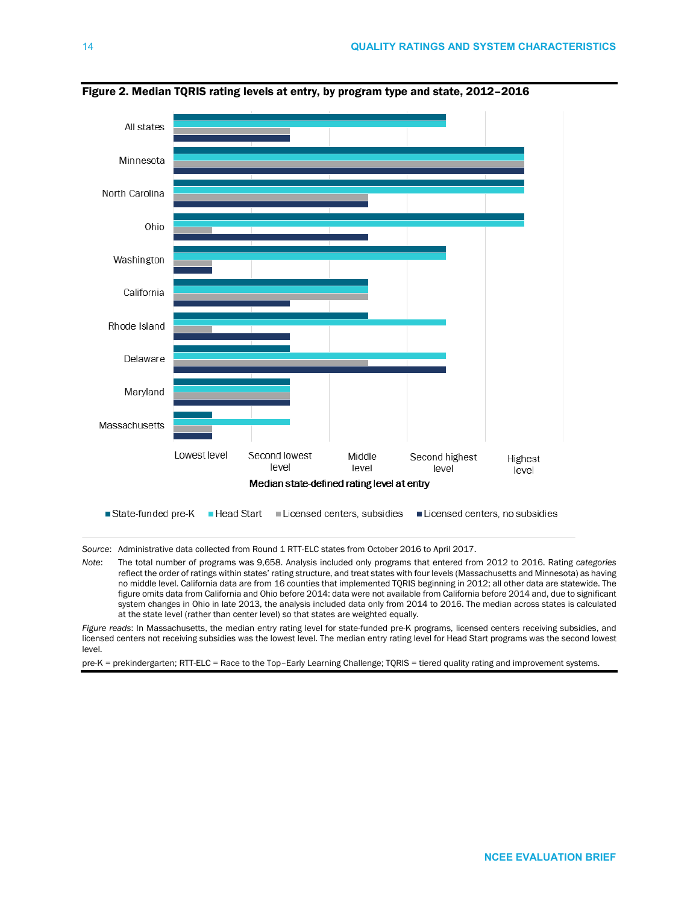

Figure 2. Median TQRIS rating levels at entry, by program type and state, 2012–2016

*Source*: Administrative data collected from Round 1 RTT-ELC states from October 2016 to April 2017.

*Note*: The total number of programs was 9,658. Analysis included only programs that entered from 2012 to 2016. Rating *categories* reflect the order of ratings within states' rating structure, and treat states with four levels (Massachusetts and Minnesota) as having no middle level. California data are from 16 counties that implemented TQRIS beginning in 2012; all other data are statewide. The figure omits data from California and Ohio before 2014: data were not available from California before 2014 and, due to significant system changes in Ohio in late 2013, the analysis included data only from 2014 to 2016. The median across states is calculated at the state level (rather than center level) so that states are weighted equally.

*Figure reads*: In Massachusetts, the median entry rating level for state-funded pre-K programs, licensed centers receiving subsidies, and licensed centers not receiving subsidies was the lowest level. The median entry rating level for Head Start programs was the second lowest level.

pre-K = prekindergarten; RTT-ELC = Race to the Top–Early Learning Challenge; TQRIS = tiered quality rating and improvement systems.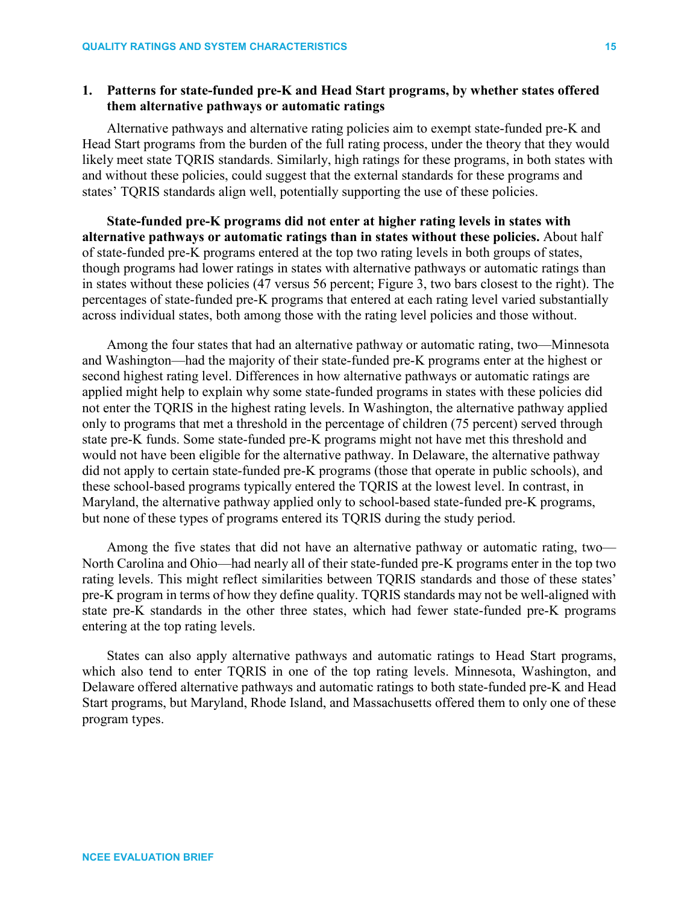# **1. Patterns for state-funded pre-K and Head Start programs, by whether states offered them alternative pathways or automatic ratings**

Alternative pathways and alternative rating policies aim to exempt state-funded pre-K and Head Start programs from the burden of the full rating process, under the theory that they would likely meet state TQRIS standards. Similarly, high ratings for these programs, in both states with and without these policies, could suggest that the external standards for these programs and states' TQRIS standards align well, potentially supporting the use of these policies.

**State-funded pre-K programs did not enter at higher rating levels in states with alternative pathways or automatic ratings than in states without these policies.** About half of state-funded pre-K programs entered at the top two rating levels in both groups of states, though programs had lower ratings in states with alternative pathways or automatic ratings than in states without these policies (47 versus 56 percent; Figure 3, two bars closest to the right). The percentages of state-funded pre-K programs that entered at each rating level varied substantially across individual states, both among those with the rating level policies and those without.

Among the four states that had an alternative pathway or automatic rating, two—Minnesota and Washington—had the majority of their state-funded pre-K programs enter at the highest or second highest rating level. Differences in how alternative pathways or automatic ratings are applied might help to explain why some state-funded programs in states with these policies did not enter the TQRIS in the highest rating levels. In Washington, the alternative pathway applied only to programs that met a threshold in the percentage of children (75 percent) served through state pre-K funds. Some state-funded pre-K programs might not have met this threshold and would not have been eligible for the alternative pathway. In Delaware, the alternative pathway did not apply to certain state-funded pre-K programs (those that operate in public schools), and these school-based programs typically entered the TQRIS at the lowest level. In contrast, in Maryland, the alternative pathway applied only to school-based state-funded pre-K programs, but none of these types of programs entered its TQRIS during the study period.

Among the five states that did not have an alternative pathway or automatic rating, two— North Carolina and Ohio—had nearly all of their state-funded pre-K programs enter in the top two rating levels. This might reflect similarities between TQRIS standards and those of these states' pre-K program in terms of how they define quality. TQRIS standards may not be well-aligned with state pre-K standards in the other three states, which had fewer state-funded pre-K programs entering at the top rating levels.

States can also apply alternative pathways and automatic ratings to Head Start programs, which also tend to enter TQRIS in one of the top rating levels. Minnesota, Washington, and Delaware offered alternative pathways and automatic ratings to both state-funded pre-K and Head Start programs, but Maryland, Rhode Island, and Massachusetts offered them to only one of these program types.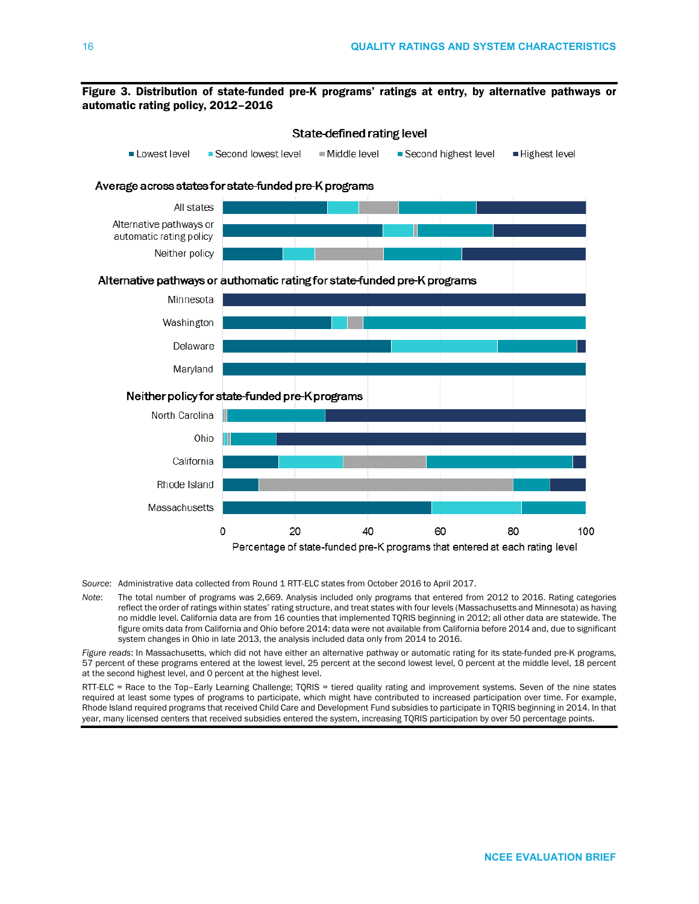### Figure 3. Distribution of state-funded pre-K programs' ratings at entry, by alternative pathways or automatic rating policy, 2012–2016



*Source*: Administrative data collected from Round 1 RTT-ELC states from October 2016 to April 2017.

*Note*: The total number of programs was 2,669. Analysis included only programs that entered from 2012 to 2016. Rating categories reflect the order of ratings within states' rating structure, and treat states with four levels (Massachusetts and Minnesota) as having no middle level. California data are from 16 counties that implemented TQRIS beginning in 2012; all other data are statewide. The figure omits data from California and Ohio before 2014: data were not available from California before 2014 and, due to significant system changes in Ohio in late 2013, the analysis included data only from 2014 to 2016.

*Figure reads*: In Massachusetts, which did not have either an alternative pathway or automatic rating for its state-funded pre-K programs, 57 percent of these programs entered at the lowest level, 25 percent at the second lowest level, 0 percent at the middle level, 18 percent at the second highest level, and 0 percent at the highest level.

RTT-ELC = Race to the Top–Early Learning Challenge; TQRIS = tiered quality rating and improvement systems. Seven of the nine states required at least some types of programs to participate, which might have contributed to increased participation over time. For example, Rhode Island required programs that received Child Care and Development Fund subsidies to participate in TQRIS beginning in 2014. In that year, many licensed centers that received subsidies entered the system, increasing TQRIS participation by over 50 percentage points.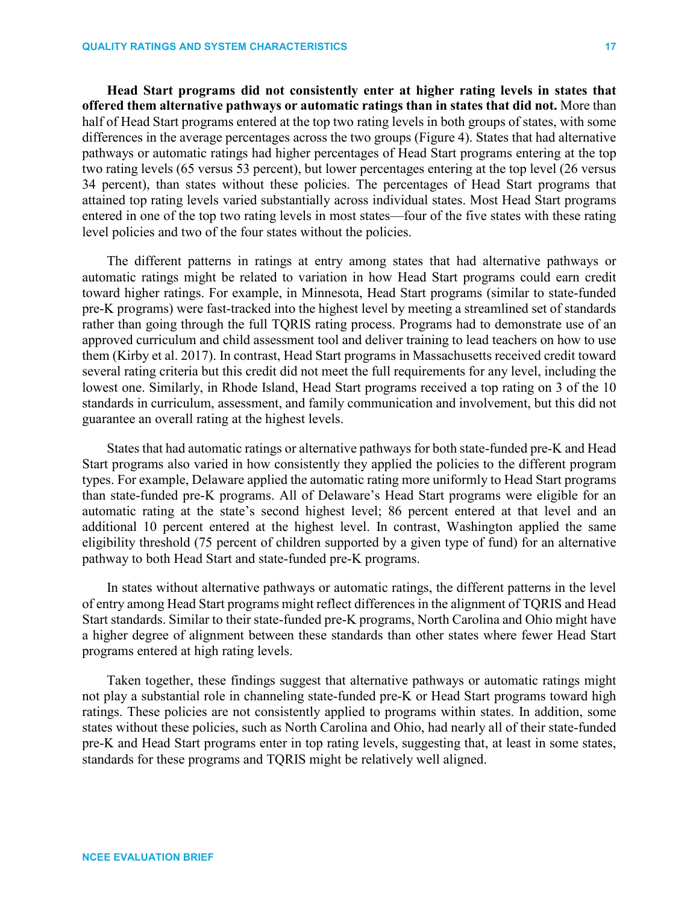**Head Start programs did not consistently enter at higher rating levels in states that offered them alternative pathways or automatic ratings than in states that did not.** More than half of Head Start programs entered at the top two rating levels in both groups of states, with some differences in the average percentages across the two groups (Figure 4). States that had alternative pathways or automatic ratings had higher percentages of Head Start programs entering at the top two rating levels (65 versus 53 percent), but lower percentages entering at the top level (26 versus 34 percent), than states without these policies. The percentages of Head Start programs that attained top rating levels varied substantially across individual states. Most Head Start programs entered in one of the top two rating levels in most states—four of the five states with these rating level policies and two of the four states without the policies.

The different patterns in ratings at entry among states that had alternative pathways or automatic ratings might be related to variation in how Head Start programs could earn credit toward higher ratings. For example, in Minnesota, Head Start programs (similar to state-funded pre-K programs) were fast-tracked into the highest level by meeting a streamlined set of standards rather than going through the full TQRIS rating process. Programs had to demonstrate use of an approved curriculum and child assessment tool and deliver training to lead teachers on how to use them (Kirby et al. 2017). In contrast, Head Start programs in Massachusetts received credit toward several rating criteria but this credit did not meet the full requirements for any level, including the lowest one. Similarly, in Rhode Island, Head Start programs received a top rating on 3 of the 10 standards in curriculum, assessment, and family communication and involvement, but this did not guarantee an overall rating at the highest levels.

States that had automatic ratings or alternative pathways for both state-funded pre-K and Head Start programs also varied in how consistently they applied the policies to the different program types. For example, Delaware applied the automatic rating more uniformly to Head Start programs than state-funded pre-K programs. All of Delaware's Head Start programs were eligible for an automatic rating at the state's second highest level; 86 percent entered at that level and an additional 10 percent entered at the highest level. In contrast, Washington applied the same eligibility threshold (75 percent of children supported by a given type of fund) for an alternative pathway to both Head Start and state-funded pre-K programs.

In states without alternative pathways or automatic ratings, the different patterns in the level of entry among Head Start programs might reflect differences in the alignment of TQRIS and Head Start standards. Similar to their state-funded pre-K programs, North Carolina and Ohio might have a higher degree of alignment between these standards than other states where fewer Head Start programs entered at high rating levels.

Taken together, these findings suggest that alternative pathways or automatic ratings might not play a substantial role in channeling state-funded pre-K or Head Start programs toward high ratings. These policies are not consistently applied to programs within states. In addition, some states without these policies, such as North Carolina and Ohio, had nearly all of their state-funded pre-K and Head Start programs enter in top rating levels, suggesting that, at least in some states, standards for these programs and TQRIS might be relatively well aligned.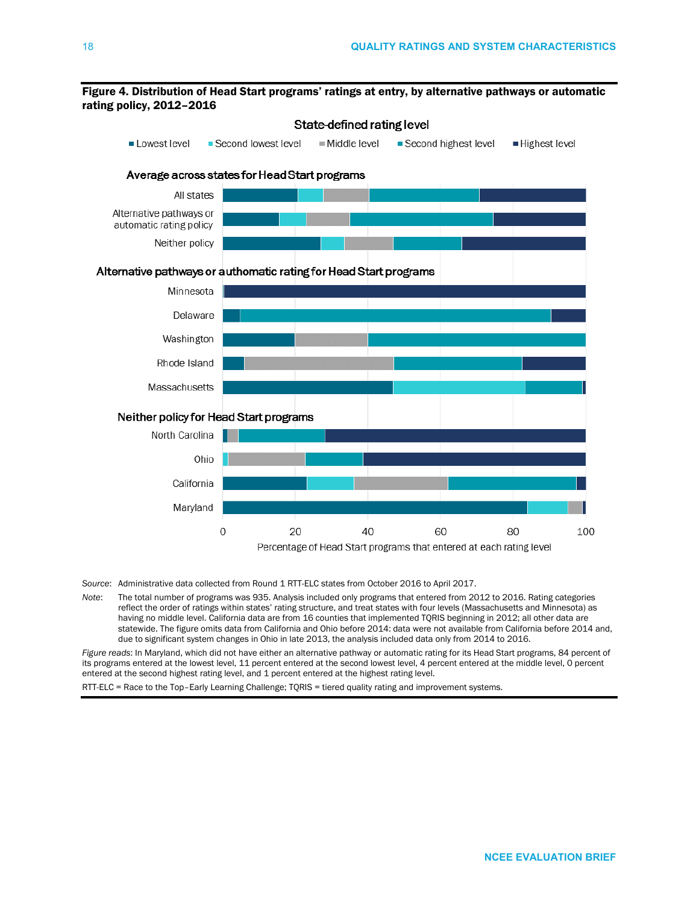### Figure 4. Distribution of Head Start programs' ratings at entry, by alternative pathways or automatic rating policy, 2012–2016



*Source*: Administrative data collected from Round 1 RTT-ELC states from October 2016 to April 2017.

*Note*: The total number of programs was 935. Analysis included only programs that entered from 2012 to 2016. Rating categories reflect the order of ratings within states' rating structure, and treat states with four levels (Massachusetts and Minnesota) as having no middle level. California data are from 16 counties that implemented TQRIS beginning in 2012; all other data are statewide. The figure omits data from California and Ohio before 2014: data were not available from California before 2014 and, due to significant system changes in Ohio in late 2013, the analysis included data only from 2014 to 2016.

*Figure reads*: In Maryland, which did not have either an alternative pathway or automatic rating for its Head Start programs, 84 percent of its programs entered at the lowest level, 11 percent entered at the second lowest level, 4 percent entered at the middle level, 0 percent entered at the second highest rating level, and 1 percent entered at the highest rating level.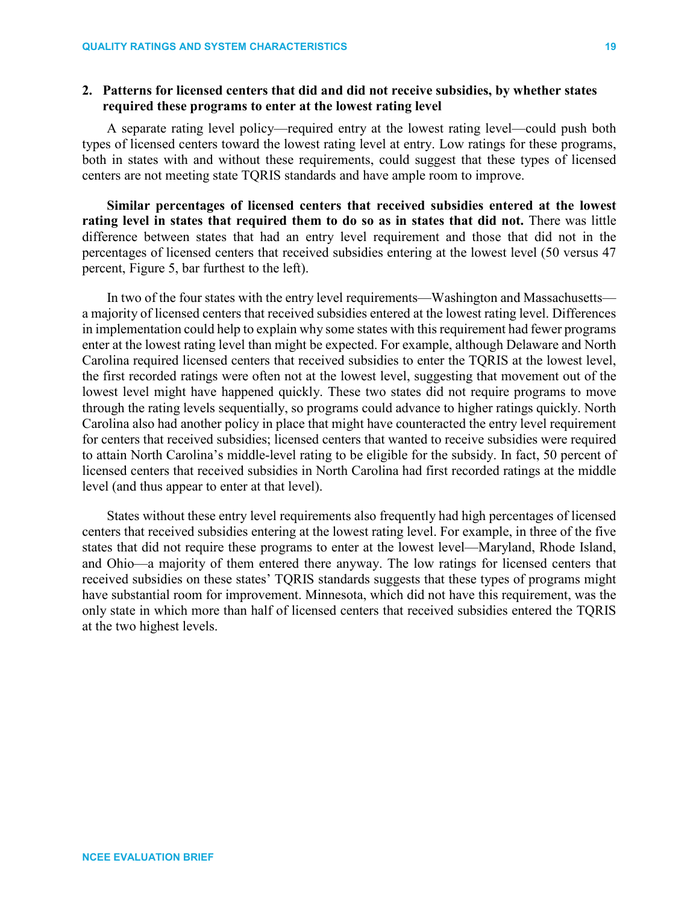# **2. Patterns for licensed centers that did and did not receive subsidies, by whether states required these programs to enter at the lowest rating level**

A separate rating level policy—required entry at the lowest rating level—could push both types of licensed centers toward the lowest rating level at entry. Low ratings for these programs, both in states with and without these requirements, could suggest that these types of licensed centers are not meeting state TQRIS standards and have ample room to improve.

**Similar percentages of licensed centers that received subsidies entered at the lowest rating level in states that required them to do so as in states that did not.** There was little difference between states that had an entry level requirement and those that did not in the percentages of licensed centers that received subsidies entering at the lowest level (50 versus 47 percent, Figure 5, bar furthest to the left).

In two of the four states with the entry level requirements—Washington and Massachusetts a majority of licensed centers that received subsidies entered at the lowest rating level. Differences in implementation could help to explain why some states with this requirement had fewer programs enter at the lowest rating level than might be expected. For example, although Delaware and North Carolina required licensed centers that received subsidies to enter the TQRIS at the lowest level, the first recorded ratings were often not at the lowest level, suggesting that movement out of the lowest level might have happened quickly. These two states did not require programs to move through the rating levels sequentially, so programs could advance to higher ratings quickly. North Carolina also had another policy in place that might have counteracted the entry level requirement for centers that received subsidies; licensed centers that wanted to receive subsidies were required to attain North Carolina's middle-level rating to be eligible for the subsidy. In fact, 50 percent of licensed centers that received subsidies in North Carolina had first recorded ratings at the middle level (and thus appear to enter at that level).

States without these entry level requirements also frequently had high percentages of licensed centers that received subsidies entering at the lowest rating level. For example, in three of the five states that did not require these programs to enter at the lowest level—Maryland, Rhode Island, and Ohio—a majority of them entered there anyway. The low ratings for licensed centers that received subsidies on these states' TQRIS standards suggests that these types of programs might have substantial room for improvement. Minnesota, which did not have this requirement, was the only state in which more than half of licensed centers that received subsidies entered the TQRIS at the two highest levels.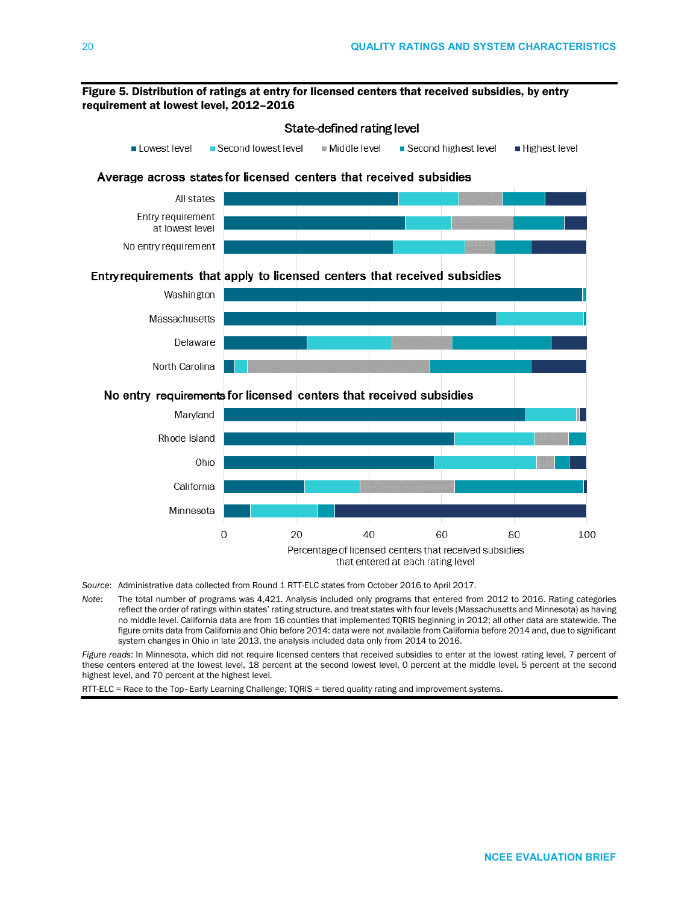

- *Source*: Administrative data collected from Round 1 RTT-ELC states from October 2016 to April 2017.
- *Note*: The total number of programs was 4,421. Analysis included only programs that entered from 2012 to 2016. Rating categories reflect the order of ratings within states' rating structure, and treat states with four levels (Massachusetts and Minnesota) as having no middle level. California data are from 16 counties that implemented TQRIS beginning in 2012; all other data are statewide. The figure omits data from California and Ohio before 2014: data were not available from California before 2014 and, due to significant system changes in Ohio in late 2013, the analysis included data only from 2014 to 2016.

*Figure reads*: In Minnesota, which did not require licensed centers that received subsidies to enter at the lowest rating level, 7 percent of these centers entered at the lowest level, 18 percent at the second lowest level, 0 percent at the middle level, 5 percent at the second highest level, and 70 percent at the highest level.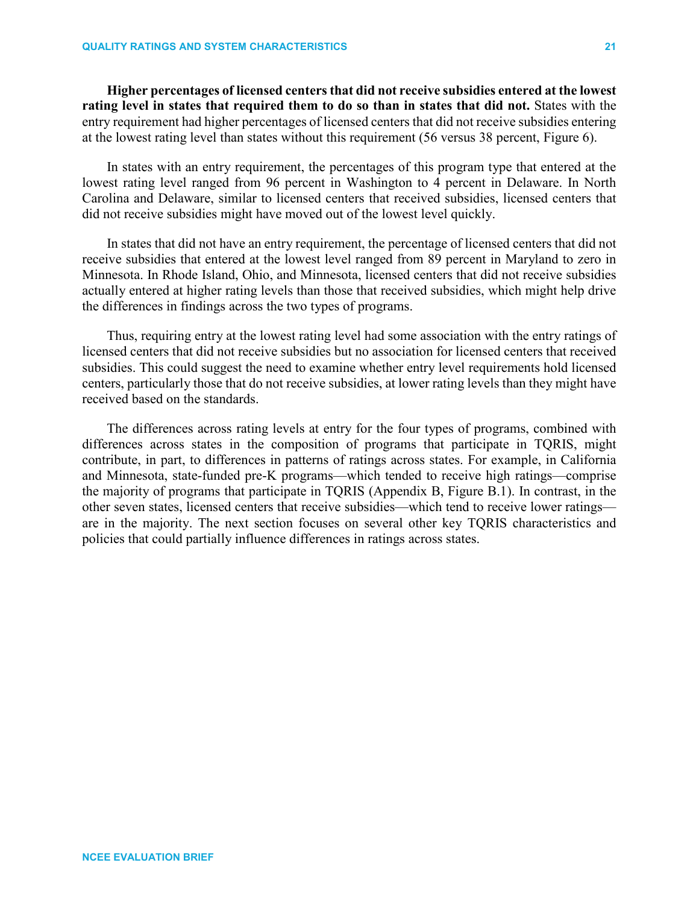**Higher percentages of licensed centers that did not receive subsidies entered at the lowest rating level in states that required them to do so than in states that did not.** States with the entry requirement had higher percentages of licensed centers that did not receive subsidies entering at the lowest rating level than states without this requirement (56 versus 38 percent, Figure 6).

In states with an entry requirement, the percentages of this program type that entered at the lowest rating level ranged from 96 percent in Washington to 4 percent in Delaware. In North Carolina and Delaware, similar to licensed centers that received subsidies, licensed centers that did not receive subsidies might have moved out of the lowest level quickly.

In states that did not have an entry requirement, the percentage of licensed centers that did not receive subsidies that entered at the lowest level ranged from 89 percent in Maryland to zero in Minnesota. In Rhode Island, Ohio, and Minnesota, licensed centers that did not receive subsidies actually entered at higher rating levels than those that received subsidies, which might help drive the differences in findings across the two types of programs.

Thus, requiring entry at the lowest rating level had some association with the entry ratings of licensed centers that did not receive subsidies but no association for licensed centers that received subsidies. This could suggest the need to examine whether entry level requirements hold licensed centers, particularly those that do not receive subsidies, at lower rating levels than they might have received based on the standards.

The differences across rating levels at entry for the four types of programs, combined with differences across states in the composition of programs that participate in TQRIS, might contribute, in part, to differences in patterns of ratings across states. For example, in California and Minnesota, state-funded pre-K programs—which tended to receive high ratings—comprise the majority of programs that participate in TQRIS (Appendix B, Figure B.1). In contrast, in the other seven states, licensed centers that receive subsidies—which tend to receive lower ratings are in the majority. The next section focuses on several other key TQRIS characteristics and policies that could partially influence differences in ratings across states.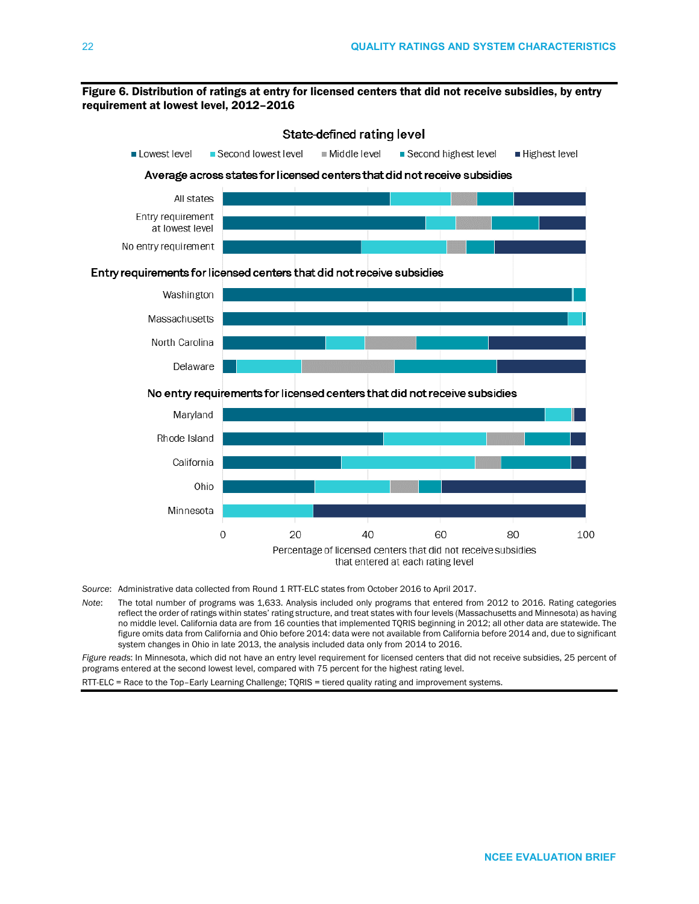### Figure 6. Distribution of ratings at entry for licensed centers that did not receive subsidies, by entry requirement at lowest level, 2012–2016



- *Source*: Administrative data collected from Round 1 RTT-ELC states from October 2016 to April 2017.
- *Note*: The total number of programs was 1,633. Analysis included only programs that entered from 2012 to 2016. Rating categories reflect the order of ratings within states' rating structure, and treat states with four levels (Massachusetts and Minnesota) as having no middle level. California data are from 16 counties that implemented TQRIS beginning in 2012; all other data are statewide. The figure omits data from California and Ohio before 2014: data were not available from California before 2014 and, due to significant system changes in Ohio in late 2013, the analysis included data only from 2014 to 2016.

*Figure reads*: In Minnesota, which did not have an entry level requirement for licensed centers that did not receive subsidies, 25 percent of programs entered at the second lowest level, compared with 75 percent for the highest rating level.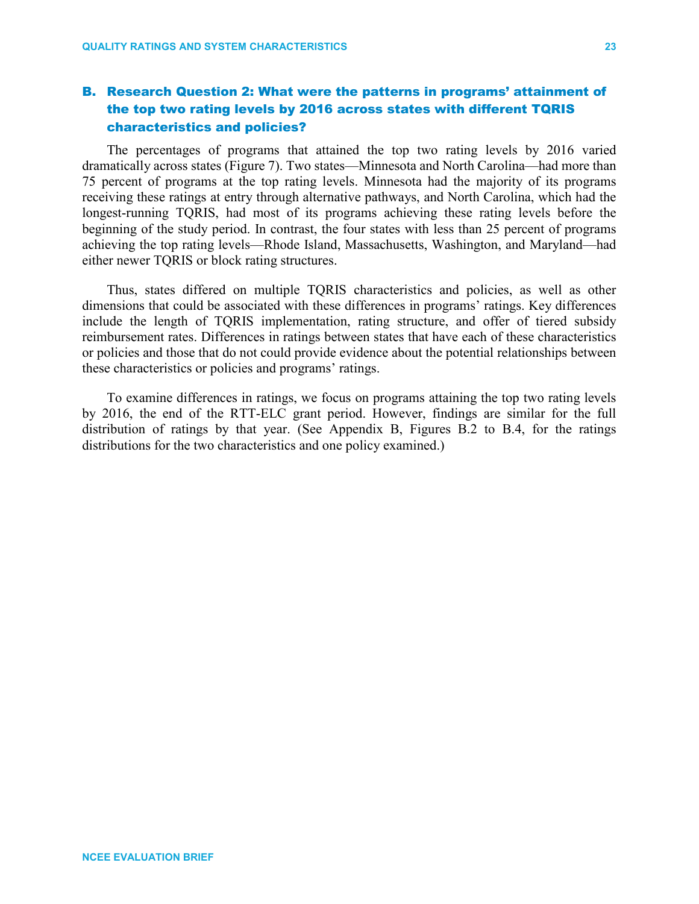# B. Research Question 2: What were the patterns in programs' attainment of the top two rating levels by 2016 across states with different TQRIS characteristics and policies?

The percentages of programs that attained the top two rating levels by 2016 varied dramatically across states (Figure 7). Two states—Minnesota and North Carolina—had more than 75 percent of programs at the top rating levels. Minnesota had the majority of its programs receiving these ratings at entry through alternative pathways, and North Carolina, which had the longest-running TQRIS, had most of its programs achieving these rating levels before the beginning of the study period. In contrast, the four states with less than 25 percent of programs achieving the top rating levels—Rhode Island, Massachusetts, Washington, and Maryland—had either newer TQRIS or block rating structures.

Thus, states differed on multiple TQRIS characteristics and policies, as well as other dimensions that could be associated with these differences in programs' ratings. Key differences include the length of TQRIS implementation, rating structure, and offer of tiered subsidy reimbursement rates. Differences in ratings between states that have each of these characteristics or policies and those that do not could provide evidence about the potential relationships between these characteristics or policies and programs' ratings.

To examine differences in ratings, we focus on programs attaining the top two rating levels by 2016, the end of the RTT-ELC grant period. However, findings are similar for the full distribution of ratings by that year. (See Appendix B, Figures B.2 to B.4, for the ratings distributions for the two characteristics and one policy examined.)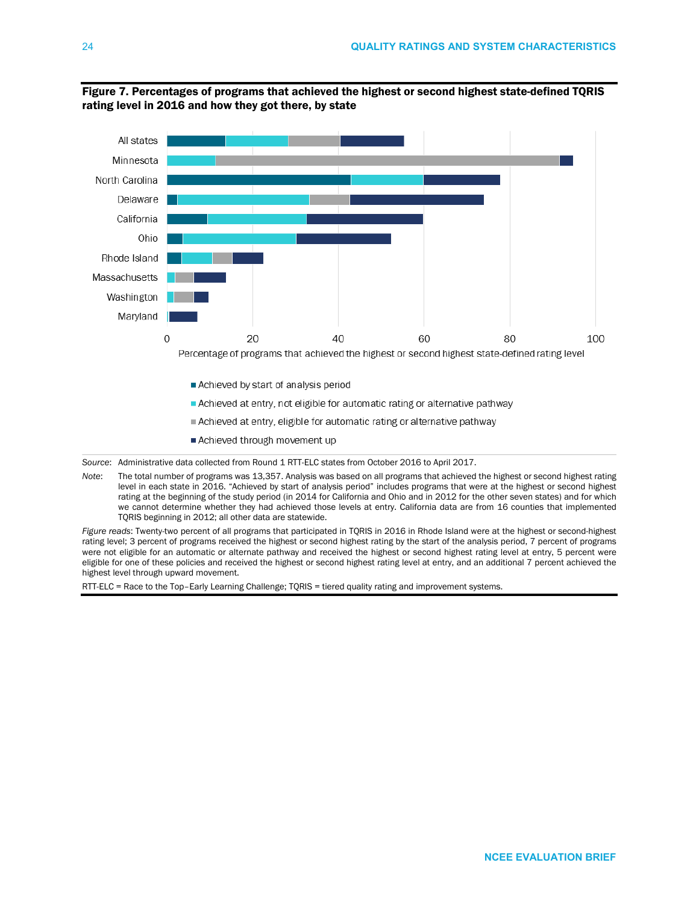

Figure 7. Percentages of programs that achieved the highest or second highest state-defined TQRIS rating level in 2016 and how they got there, by state

*Source*: Administrative data collected from Round 1 RTT-ELC states from October 2016 to April 2017.

*Note*: The total number of programs was 13,357. Analysis was based on all programs that achieved the highest or second highest rating level in each state in 2016. "Achieved by start of analysis period" includes programs that were at the highest or second highest rating at the beginning of the study period (in 2014 for California and Ohio and in 2012 for the other seven states) and for which we cannot determine whether they had achieved those levels at entry. California data are from 16 counties that implemented TQRIS beginning in 2012; all other data are statewide.

*Figure reads*: Twenty-two percent of all programs that participated in TQRIS in 2016 in Rhode Island were at the highest or second-highest rating level; 3 percent of programs received the highest or second highest rating by the start of the analysis period, 7 percent of programs were not eligible for an automatic or alternate pathway and received the highest or second highest rating level at entry, 5 percent were eligible for one of these policies and received the highest or second highest rating level at entry, and an additional 7 percent achieved the highest level through upward movement.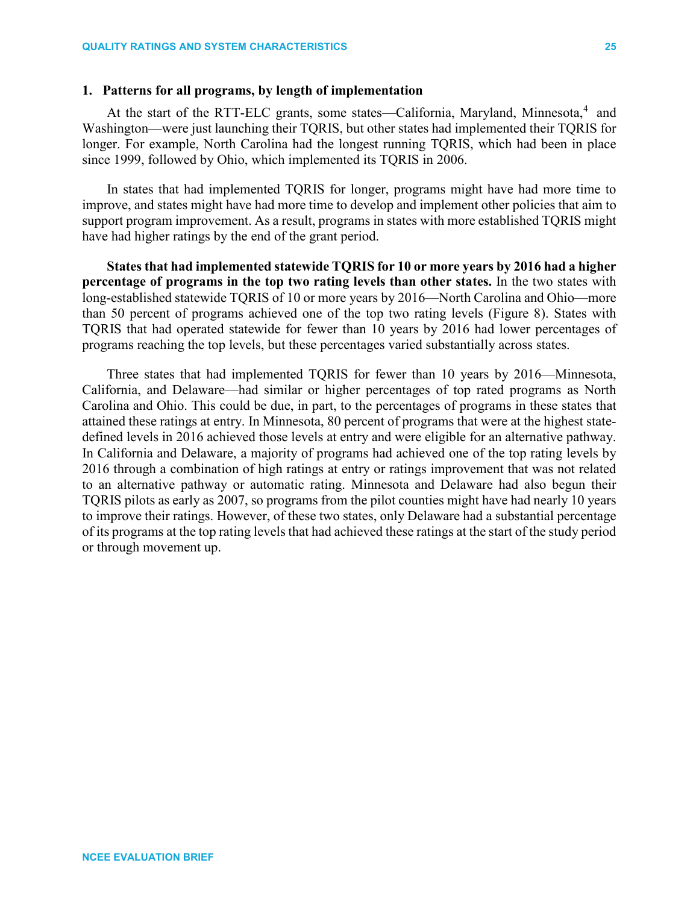# **1. Patterns for all programs, by length of implementation**

At the start of the RTT-ELC grants, some states—California, Maryland, Minnesota,<sup>[4](#page-35-3)</sup> and Washington—were just launching their TQRIS, but other states had implemented their TQRIS for longer. For example, North Carolina had the longest running TQRIS, which had been in place since 1999, followed by Ohio, which implemented its TQRIS in 2006.

In states that had implemented TQRIS for longer, programs might have had more time to improve, and states might have had more time to develop and implement other policies that aim to support program improvement. As a result, programs in states with more established TQRIS might have had higher ratings by the end of the grant period.

**States that had implemented statewide TQRIS for 10 or more years by 2016 had a higher percentage of programs in the top two rating levels than other states.** In the two states with long-established statewide TQRIS of 10 or more years by 2016—North Carolina and Ohio—more than 50 percent of programs achieved one of the top two rating levels (Figure 8). States with TQRIS that had operated statewide for fewer than 10 years by 2016 had lower percentages of programs reaching the top levels, but these percentages varied substantially across states.

Three states that had implemented TQRIS for fewer than 10 years by 2016—Minnesota, California, and Delaware—had similar or higher percentages of top rated programs as North Carolina and Ohio. This could be due, in part, to the percentages of programs in these states that attained these ratings at entry. In Minnesota, 80 percent of programs that were at the highest statedefined levels in 2016 achieved those levels at entry and were eligible for an alternative pathway. In California and Delaware, a majority of programs had achieved one of the top rating levels by 2016 through a combination of high ratings at entry or ratings improvement that was not related to an alternative pathway or automatic rating. Minnesota and Delaware had also begun their TQRIS pilots as early as 2007, so programs from the pilot counties might have had nearly 10 years to improve their ratings. However, of these two states, only Delaware had a substantial percentage of its programs at the top rating levels that had achieved these ratings at the start of the study period or through movement up.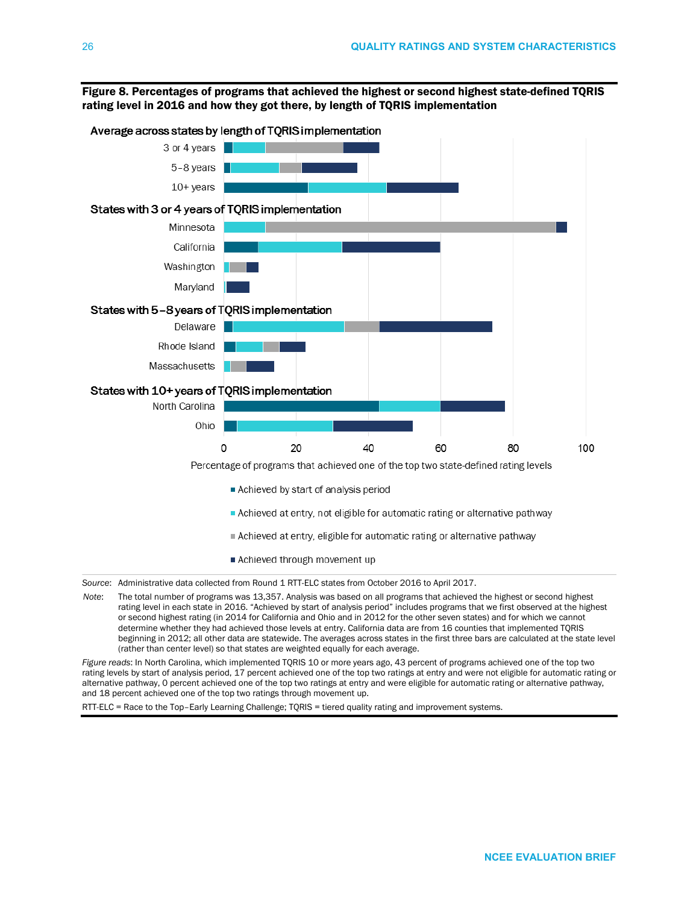

Figure 8. Percentages of programs that achieved the highest or second highest state-defined TQRIS rating level in 2016 and how they got there, by length of TQRIS implementation

rating level in each state in 2016. "Achieved by start of analysis period" includes programs that we first observed at the highest or second highest rating (in 2014 for California and Ohio and in 2012 for the other seven states) and for which we cannot determine whether they had achieved those levels at entry. California data are from 16 counties that implemented TQRIS beginning in 2012; all other data are statewide. The averages across states in the first three bars are calculated at the state level (rather than center level) so that states are weighted equally for each average.

*Figure reads*: In North Carolina, which implemented TQRIS 10 or more years ago, 43 percent of programs achieved one of the top two rating levels by start of analysis period, 17 percent achieved one of the top two ratings at entry and were not eligible for automatic rating or alternative pathway, 0 percent achieved one of the top two ratings at entry and were eligible for automatic rating or alternative pathway, and 18 percent achieved one of the top two ratings through movement up.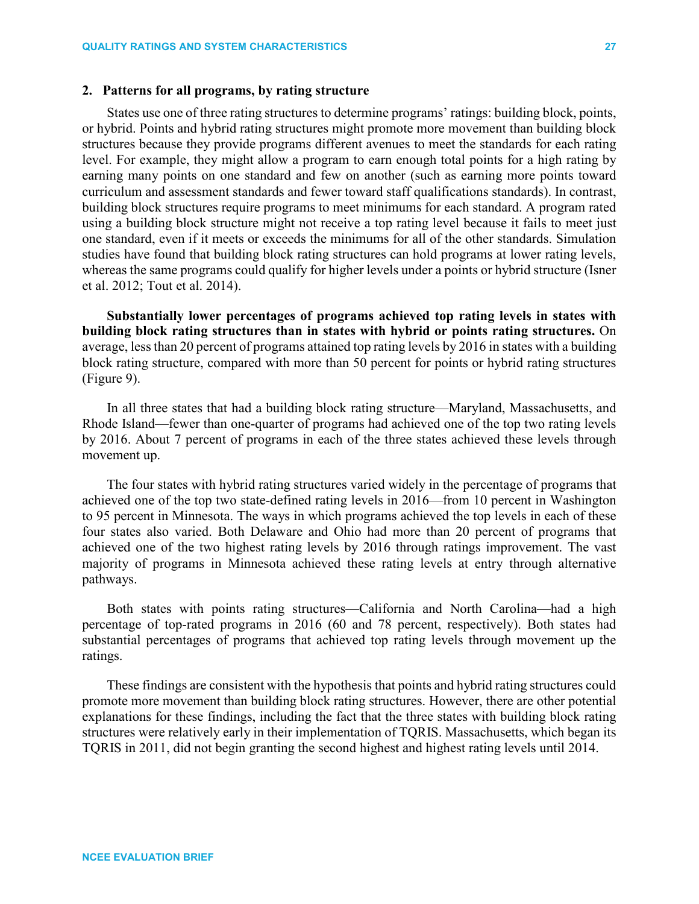## **2. Patterns for all programs, by rating structure**

States use one of three rating structures to determine programs' ratings: building block, points, or hybrid. Points and hybrid rating structures might promote more movement than building block structures because they provide programs different avenues to meet the standards for each rating level. For example, they might allow a program to earn enough total points for a high rating by earning many points on one standard and few on another (such as earning more points toward curriculum and assessment standards and fewer toward staff qualifications standards). In contrast, building block structures require programs to meet minimums for each standard. A program rated using a building block structure might not receive a top rating level because it fails to meet just one standard, even if it meets or exceeds the minimums for all of the other standards. Simulation studies have found that building block rating structures can hold programs at lower rating levels, whereas the same programs could qualify for higher levels under a points or hybrid structure (Isner et al. 2012; Tout et al. 2014).

**Substantially lower percentages of programs achieved top rating levels in states with building block rating structures than in states with hybrid or points rating structures.** On average, less than 20 percent of programs attained top rating levels by 2016 in states with a building block rating structure, compared with more than 50 percent for points or hybrid rating structures (Figure 9).

In all three states that had a building block rating structure—Maryland, Massachusetts, and Rhode Island—fewer than one-quarter of programs had achieved one of the top two rating levels by 2016. About 7 percent of programs in each of the three states achieved these levels through movement up.

The four states with hybrid rating structures varied widely in the percentage of programs that achieved one of the top two state-defined rating levels in 2016—from 10 percent in Washington to 95 percent in Minnesota. The ways in which programs achieved the top levels in each of these four states also varied. Both Delaware and Ohio had more than 20 percent of programs that achieved one of the two highest rating levels by 2016 through ratings improvement. The vast majority of programs in Minnesota achieved these rating levels at entry through alternative pathways.

Both states with points rating structures—California and North Carolina—had a high percentage of top-rated programs in 2016 (60 and 78 percent, respectively). Both states had substantial percentages of programs that achieved top rating levels through movement up the ratings.

These findings are consistent with the hypothesis that points and hybrid rating structures could promote more movement than building block rating structures. However, there are other potential explanations for these findings, including the fact that the three states with building block rating structures were relatively early in their implementation of TQRIS. Massachusetts, which began its TQRIS in 2011, did not begin granting the second highest and highest rating levels until 2014.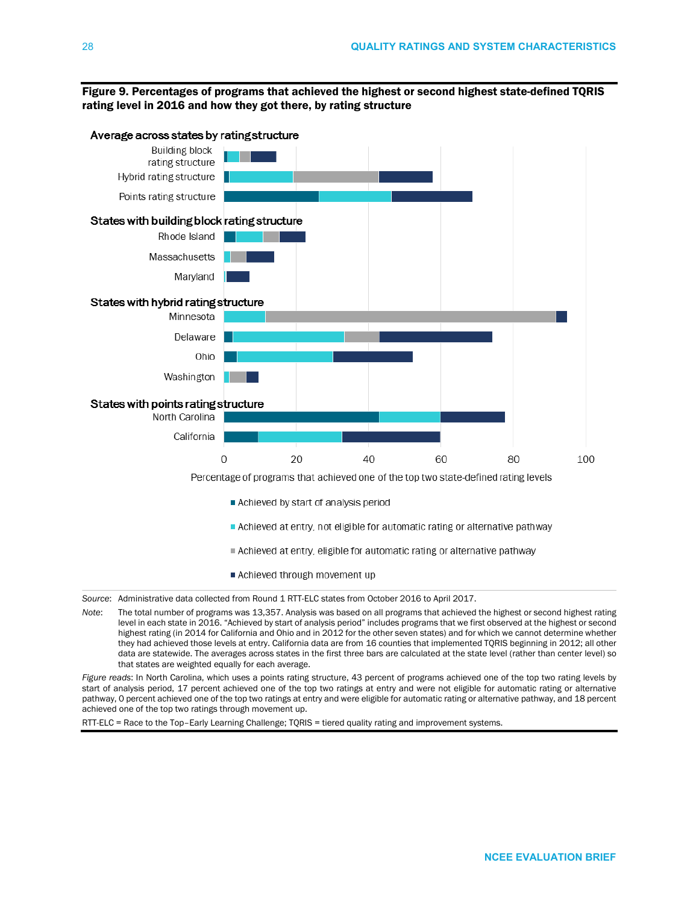## Figure 9. Percentages of programs that achieved the highest or second highest state-defined TQRIS rating level in 2016 and how they got there, by rating structure



*Source*: Administrative data collected from Round 1 RTT-ELC states from October 2016 to April 2017.

*Note*: The total number of programs was 13,357. Analysis was based on all programs that achieved the highest or second highest rating level in each state in 2016. "Achieved by start of analysis period" includes programs that we first observed at the highest or second highest rating (in 2014 for California and Ohio and in 2012 for the other seven states) and for which we cannot determine whether they had achieved those levels at entry. California data are from 16 counties that implemented TQRIS beginning in 2012; all other data are statewide. The averages across states in the first three bars are calculated at the state level (rather than center level) so that states are weighted equally for each average.

*Figure reads*: In North Carolina, which uses a points rating structure, 43 percent of programs achieved one of the top two rating levels by start of analysis period, 17 percent achieved one of the top two ratings at entry and were not eligible for automatic rating or alternative pathway, 0 percent achieved one of the top two ratings at entry and were eligible for automatic rating or alternative pathway, and 18 percent achieved one of the top two ratings through movement up.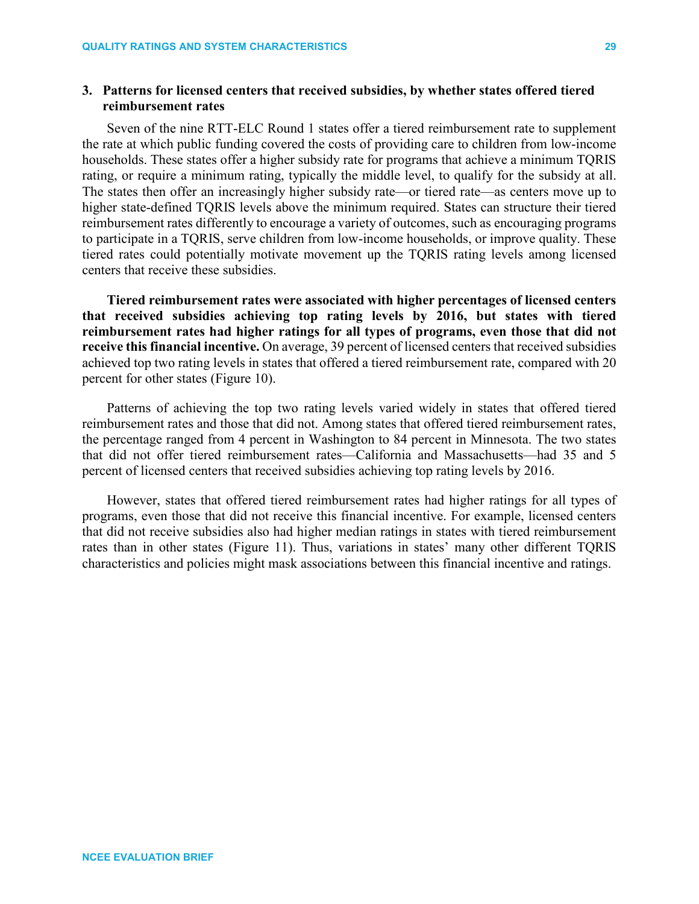# **3. Patterns for licensed centers that received subsidies, by whether states offered tiered reimbursement rates**

Seven of the nine RTT-ELC Round 1 states offer a tiered reimbursement rate to supplement the rate at which public funding covered the costs of providing care to children from low-income households. These states offer a higher subsidy rate for programs that achieve a minimum TQRIS rating, or require a minimum rating, typically the middle level, to qualify for the subsidy at all. The states then offer an increasingly higher subsidy rate—or tiered rate—as centers move up to higher state-defined TQRIS levels above the minimum required. States can structure their tiered reimbursement rates differently to encourage a variety of outcomes, such as encouraging programs to participate in a TQRIS, serve children from low-income households, or improve quality. These tiered rates could potentially motivate movement up the TQRIS rating levels among licensed centers that receive these subsidies.

**Tiered reimbursement rates were associated with higher percentages of licensed centers that received subsidies achieving top rating levels by 2016, but states with tiered reimbursement rates had higher ratings for all types of programs, even those that did not receive this financial incentive.** On average, 39 percent of licensed centers that received subsidies achieved top two rating levels in states that offered a tiered reimbursement rate, compared with 20 percent for other states (Figure 10).

Patterns of achieving the top two rating levels varied widely in states that offered tiered reimbursement rates and those that did not. Among states that offered tiered reimbursement rates, the percentage ranged from 4 percent in Washington to 84 percent in Minnesota. The two states that did not offer tiered reimbursement rates—California and Massachusetts—had 35 and 5 percent of licensed centers that received subsidies achieving top rating levels by 2016.

However, states that offered tiered reimbursement rates had higher ratings for all types of programs, even those that did not receive this financial incentive. For example, licensed centers that did not receive subsidies also had higher median ratings in states with tiered reimbursement rates than in other states (Figure 11). Thus, variations in states' many other different TQRIS characteristics and policies might mask associations between this financial incentive and ratings.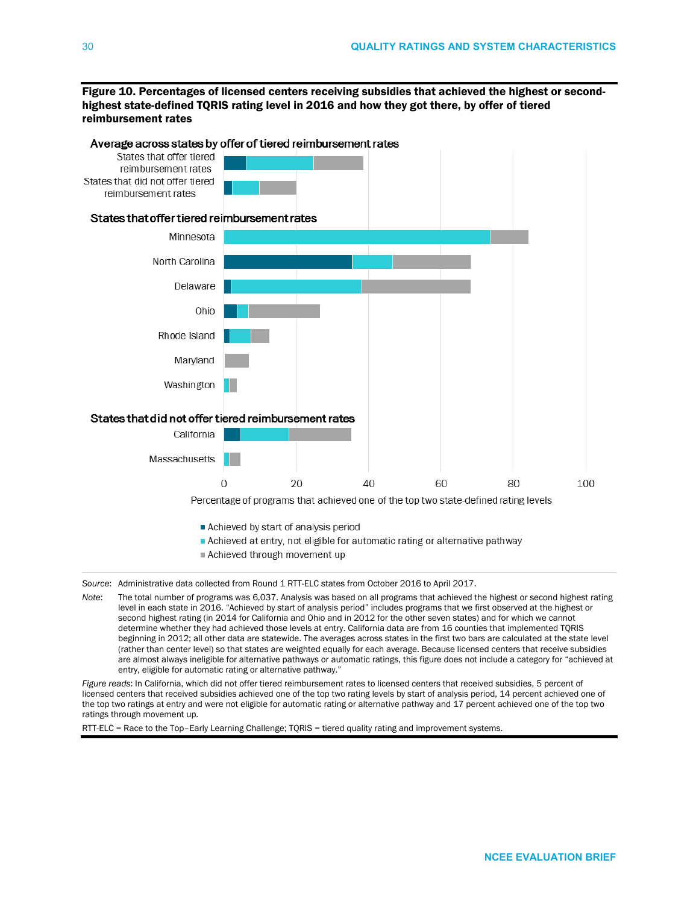Figure 10. Percentages of licensed centers receiving subsidies that achieved the highest or secondhighest state-defined TQRIS rating level in 2016 and how they got there, by offer of tiered reimbursement rates



### Achieved through movement up

*Source*: Administrative data collected from Round 1 RTT-ELC states from October 2016 to April 2017.

*Note*: The total number of programs was 6,037. Analysis was based on all programs that achieved the highest or second highest rating level in each state in 2016. "Achieved by start of analysis period" includes programs that we first observed at the highest or second highest rating (in 2014 for California and Ohio and in 2012 for the other seven states) and for which we cannot determine whether they had achieved those levels at entry. California data are from 16 counties that implemented TQRIS beginning in 2012; all other data are statewide. The averages across states in the first two bars are calculated at the state level (rather than center level) so that states are weighted equally for each average. Because licensed centers that receive subsidies are almost always ineligible for alternative pathways or automatic ratings, this figure does not include a category for "achieved at entry, eligible for automatic rating or alternative pathway.'

*Figure reads*: In California, which did not offer tiered reimbursement rates to licensed centers that received subsidies, 5 percent of licensed centers that received subsidies achieved one of the top two rating levels by start of analysis period, 14 percent achieved one of the top two ratings at entry and were not eligible for automatic rating or alternative pathway and 17 percent achieved one of the top two ratings through movement up.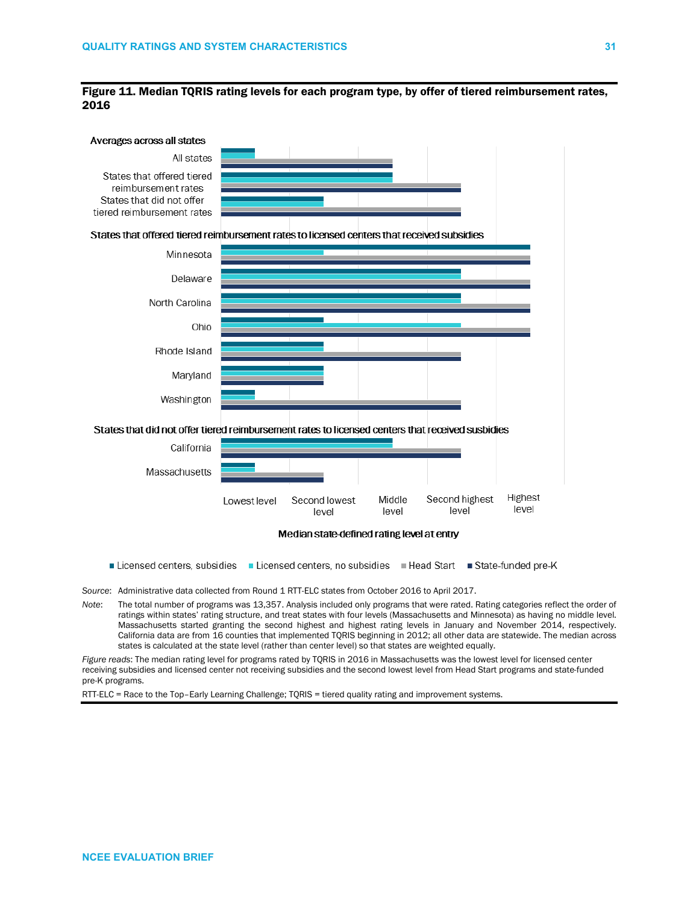### Figure 11. Median TQRIS rating levels for each program type, by offer of tiered reimbursement rates, 2016



Median state-defined rating level at entry

- Licensed centers, subsidies Licensed centers, no subsidies Plead Start State-funded pre-K
- *Source*: Administrative data collected from Round 1 RTT-ELC states from October 2016 to April 2017.
- *Note*: The total number of programs was 13,357. Analysis included only programs that were rated. Rating categories reflect the order of ratings within states' rating structure, and treat states with four levels (Massachusetts and Minnesota) as having no middle level. Massachusetts started granting the second highest and highest rating levels in January and November 2014, respectively. California data are from 16 counties that implemented TQRIS beginning in 2012; all other data are statewide. The median across states is calculated at the state level (rather than center level) so that states are weighted equally.

*Figure reads*: The median rating level for programs rated by TQRIS in 2016 in Massachusetts was the lowest level for licensed center receiving subsidies and licensed center not receiving subsidies and the second lowest level from Head Start programs and state-funded pre-K programs.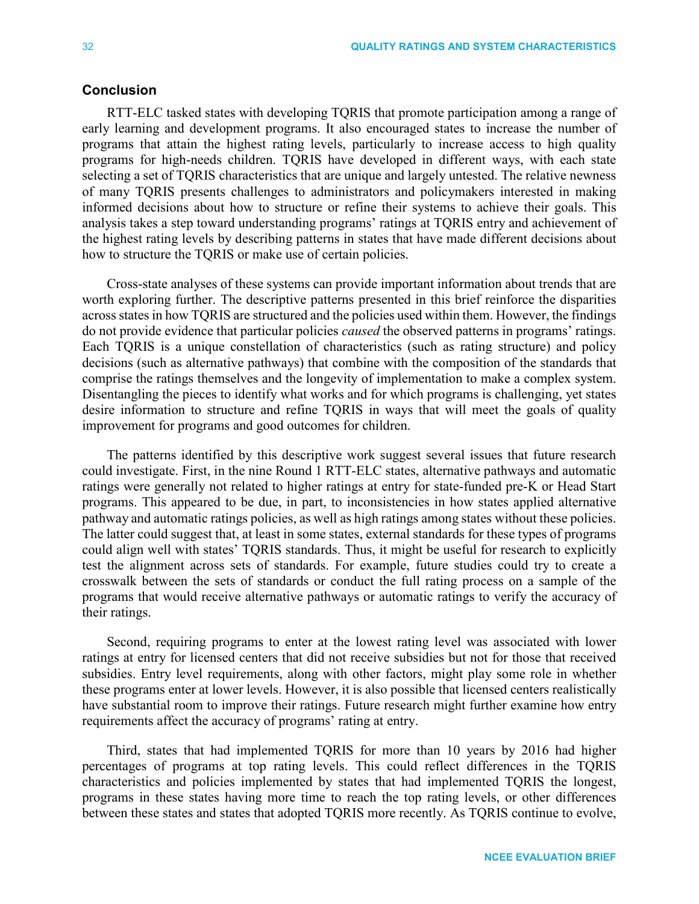# **Conclusion**

RTT-ELC tasked states with developing TQRIS that promote participation among a range of early learning and development programs. It also encouraged states to increase the number of programs that attain the highest rating levels, particularly to increase access to high quality programs for high-needs children. TQRIS have developed in different ways, with each state selecting a set of TQRIS characteristics that are unique and largely untested. The relative newness of many TQRIS presents challenges to administrators and policymakers interested in making informed decisions about how to structure or refine their systems to achieve their goals. This analysis takes a step toward understanding programs' ratings at TQRIS entry and achievement of the highest rating levels by describing patterns in states that have made different decisions about how to structure the TQRIS or make use of certain policies.

Cross-state analyses of these systems can provide important information about trends that are worth exploring further. The descriptive patterns presented in this brief reinforce the disparities acrossstates in how TQRIS are structured and the policies used within them. However, the findings do not provide evidence that particular policies *caused* the observed patterns in programs' ratings. Each TQRIS is a unique constellation of characteristics (such as rating structure) and policy decisions (such as alternative pathways) that combine with the composition of the standards that comprise the ratings themselves and the longevity of implementation to make a complex system. Disentangling the pieces to identify what works and for which programs is challenging, yet states desire information to structure and refine TQRIS in ways that will meet the goals of quality improvement for programs and good outcomes for children.

The patterns identified by this descriptive work suggest several issues that future research could investigate. First, in the nine Round 1 RTT-ELC states, alternative pathways and automatic ratings were generally not related to higher ratings at entry for state-funded pre-K or Head Start programs. This appeared to be due, in part, to inconsistencies in how states applied alternative pathway and automatic ratings policies, as well as high ratings among states without these policies. The latter could suggest that, at least in some states, external standards for these types of programs could align well with states' TQRIS standards. Thus, it might be useful for research to explicitly test the alignment across sets of standards. For example, future studies could try to create a crosswalk between the sets of standards or conduct the full rating process on a sample of the programs that would receive alternative pathways or automatic ratings to verify the accuracy of their ratings.

Second, requiring programs to enter at the lowest rating level was associated with lower ratings at entry for licensed centers that did not receive subsidies but not for those that received subsidies. Entry level requirements, along with other factors, might play some role in whether these programs enter at lower levels. However, it is also possible that licensed centers realistically have substantial room to improve their ratings. Future research might further examine how entry requirements affect the accuracy of programs' rating at entry.

Third, states that had implemented TQRIS for more than 10 years by 2016 had higher percentages of programs at top rating levels. This could reflect differences in the TQRIS characteristics and policies implemented by states that had implemented TQRIS the longest, programs in these states having more time to reach the top rating levels, or other differences between these states and states that adopted TQRIS more recently. As TQRIS continue to evolve,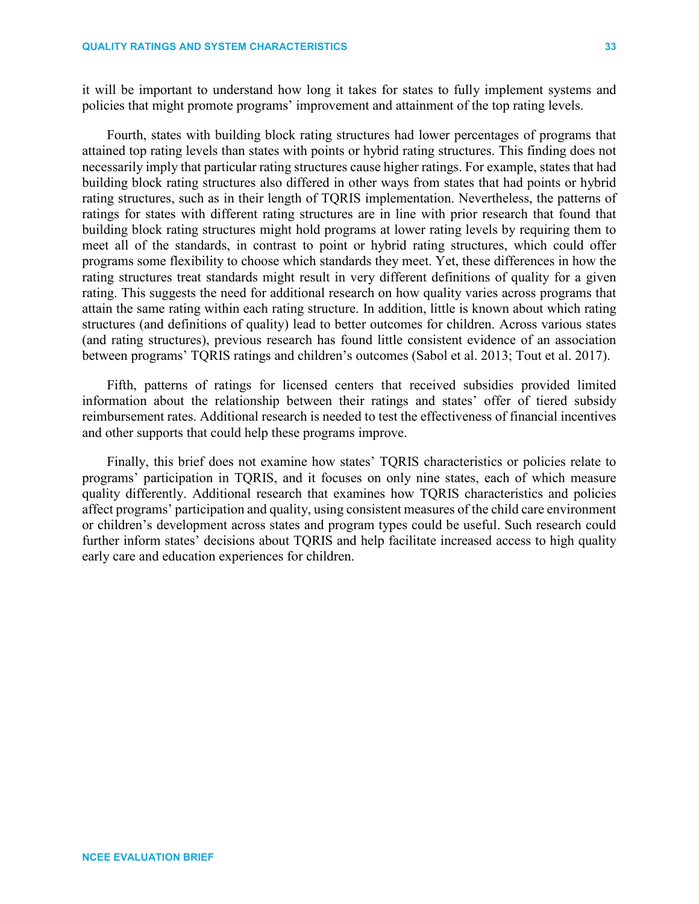it will be important to understand how long it takes for states to fully implement systems and policies that might promote programs' improvement and attainment of the top rating levels.

Fourth, states with building block rating structures had lower percentages of programs that attained top rating levels than states with points or hybrid rating structures. This finding does not necessarily imply that particular rating structures cause higher ratings. For example, states that had building block rating structures also differed in other ways from states that had points or hybrid rating structures, such as in their length of TQRIS implementation. Nevertheless, the patterns of ratings for states with different rating structures are in line with prior research that found that building block rating structures might hold programs at lower rating levels by requiring them to meet all of the standards, in contrast to point or hybrid rating structures, which could offer programs some flexibility to choose which standards they meet. Yet, these differences in how the rating structures treat standards might result in very different definitions of quality for a given rating. This suggests the need for additional research on how quality varies across programs that attain the same rating within each rating structure. In addition, little is known about which rating structures (and definitions of quality) lead to better outcomes for children. Across various states (and rating structures), previous research has found little consistent evidence of an association between programs' TQRIS ratings and children's outcomes (Sabol et al. 2013; Tout et al. 2017).

Fifth, patterns of ratings for licensed centers that received subsidies provided limited information about the relationship between their ratings and states' offer of tiered subsidy reimbursement rates. Additional research is needed to test the effectiveness of financial incentives and other supports that could help these programs improve.

Finally, this brief does not examine how states' TQRIS characteristics or policies relate to programs' participation in TQRIS, and it focuses on only nine states, each of which measure quality differently. Additional research that examines how TQRIS characteristics and policies affect programs' participation and quality, using consistent measures of the child care environment or children's development across states and program types could be useful. Such research could further inform states' decisions about TQRIS and help facilitate increased access to high quality early care and education experiences for children.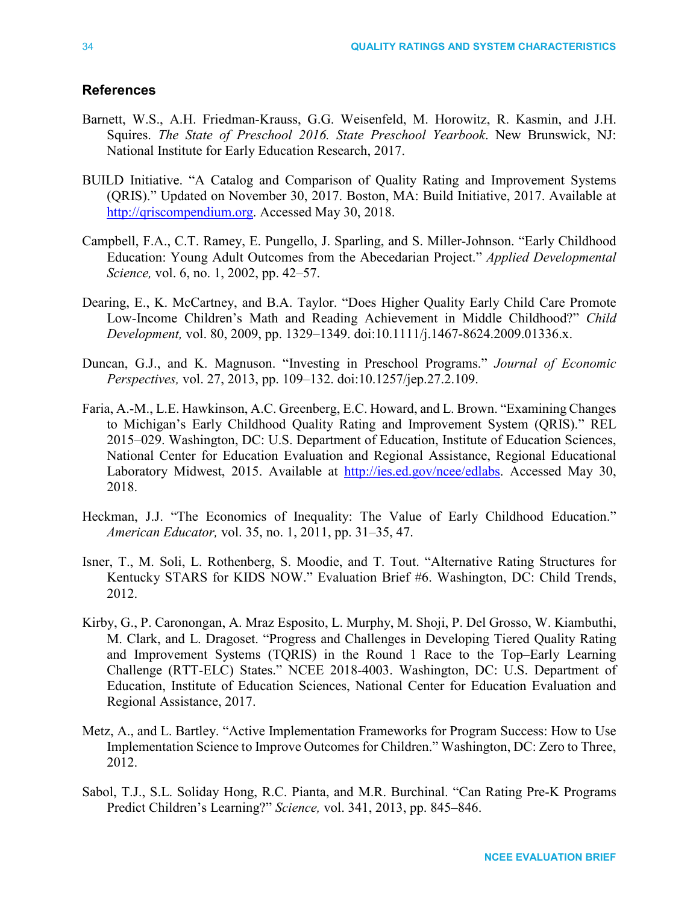# **References**

- Barnett, W.S., A.H. Friedman-Krauss, G.G. Weisenfeld, M. Horowitz, R. Kasmin, and J.H. Squires. *The State of Preschool 2016. State Preschool Yearbook*. New Brunswick, NJ: National Institute for Early Education Research, 2017.
- BUILD Initiative. "A Catalog and Comparison of Quality Rating and Improvement Systems (QRIS)." Updated on November 30, 2017. Boston, MA: Build Initiative, 2017. Available at [http://qriscompendium.org.](http://qriscompendium.org/) Accessed May 30, 2018.
- Campbell, F.A., C.T. Ramey, E. Pungello, J. Sparling, and S. Miller-Johnson. "Early Childhood Education: Young Adult Outcomes from the Abecedarian Project." *Applied Developmental Science,* vol. 6, no. 1, 2002, pp. 42–57.
- Dearing, E., K. McCartney, and B.A. Taylor. "Does Higher Quality Early Child Care Promote Low-Income Children's Math and Reading Achievement in Middle Childhood?" *Child Development,* vol. 80, 2009, pp. 1329–1349. [doi:10.1111/j.1467-8624.2009.01336.x.](doi:10.1111/j.1467-8624.2009.01336.x)
- Duncan, G.J., and K. Magnuson. "Investing in Preschool Programs." *Journal of Economic Perspectives,* vol. 27, 2013, pp. 109–132. doi[:10.1257/jep.27.2.109.](http://dx.doi.org/10.1257/jep.27.2.109)
- Faria, A.-M., L.E. Hawkinson, A.C. Greenberg, E.C. Howard, and L. Brown. "Examining Changes to Michigan's Early Childhood Quality Rating and Improvement System (QRIS)." REL 2015–029. Washington, DC: U.S. Department of Education, Institute of Education Sciences, National Center for Education Evaluation and Regional Assistance, Regional Educational Laboratory Midwest, 2015. Available at [http://ies.ed.gov/ncee/edlabs.](http://ies.ed.gov/ncee/edlabs) Accessed May 30, 2018.
- Heckman, J.J. "The Economics of Inequality: The Value of Early Childhood Education." *American Educator,* vol. 35, no. 1, 2011, pp. 31–35, 47.
- Isner, T., M. Soli, L. Rothenberg, S. Moodie, and T. Tout. "Alternative Rating Structures for Kentucky STARS for KIDS NOW." Evaluation Brief #6. Washington, DC: Child Trends, 2012.
- Kirby, G., P. Caronongan, A. Mraz Esposito, L. Murphy, M. Shoji, P. Del Grosso, W. Kiambuthi, M. Clark, and L. Dragoset. "Progress and Challenges in Developing Tiered Quality Rating and Improvement Systems (TQRIS) in the Round 1 Race to the Top–Early Learning Challenge (RTT-ELC) States." NCEE 2018-4003. Washington, DC: U.S. Department of Education, Institute of Education Sciences, National Center for Education Evaluation and Regional Assistance, 2017.
- Metz, A., and L. Bartley. "Active Implementation Frameworks for Program Success: How to Use Implementation Science to Improve Outcomes for Children." Washington, DC: Zero to Three, 2012.
- Sabol, T.J., S.L. Soliday Hong, R.C. Pianta, and M.R. Burchinal. "Can Rating Pre-K Programs Predict Children's Learning?" *Science,* vol. 341, 2013, pp. 845–846.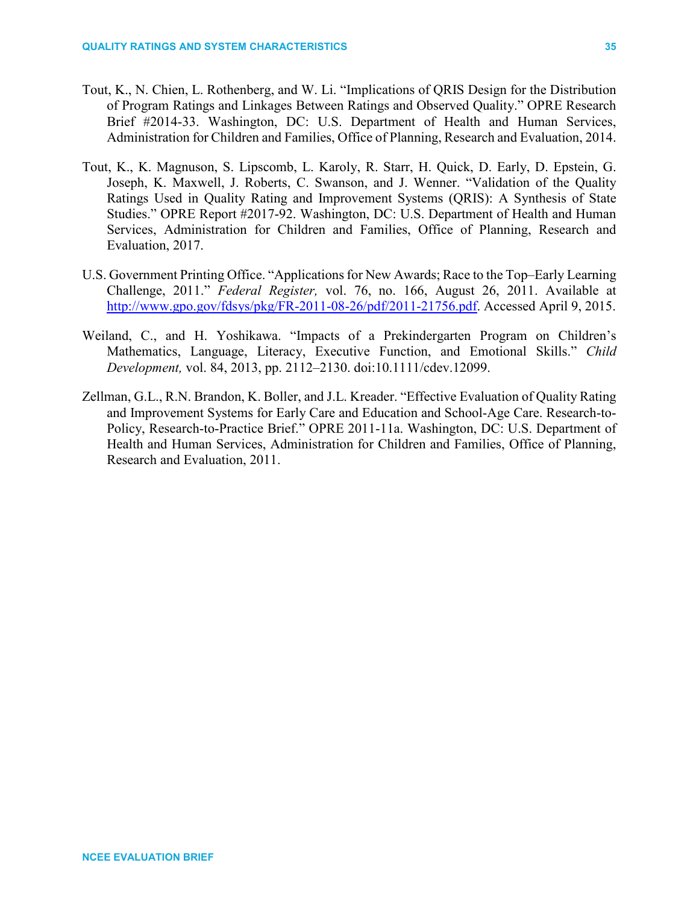- Tout, K., N. Chien, L. Rothenberg, and W. Li. "Implications of QRIS Design for the Distribution of Program Ratings and Linkages Between Ratings and Observed Quality." OPRE Research Brief #2014-33. Washington, DC: U.S. Department of Health and Human Services, Administration for Children and Families, Office of Planning, Research and Evaluation, 2014.
- Tout, K., K. Magnuson, S. Lipscomb, L. Karoly, R. Starr, H. Quick, D. Early, D. Epstein, G. Joseph, K. Maxwell, J. Roberts, C. Swanson, and J. Wenner. "Validation of the Quality Ratings Used in Quality Rating and Improvement Systems (QRIS): A Synthesis of State Studies." OPRE Report #2017-92. Washington, DC: U.S. Department of Health and Human Services, Administration for Children and Families, Office of Planning, Research and Evaluation, 2017.
- U.S. Government Printing Office. "Applications for New Awards; Race to the Top–Early Learning Challenge, 2011." *Federal Register,* vol. 76, no. 166, August 26, 2011. Available at [http://www.gpo.gov/fdsys/pkg/FR-2011-08-26/pdf/2011-21756.pdf.](http://www.gpo.gov/fdsys/pkg/FR-2011-08-26/pdf/2011-21756.pdf) Accessed April 9, 2015.
- Weiland, C., and H. Yoshikawa. "Impacts of a Prekindergarten Program on Children's Mathematics, Language, Literacy, Executive Function, and Emotional Skills." *Child Development,* vol. 84, 2013, pp. 2112–2130. doi[:10.1111/cdev.12099.](http://dx.doi.org/10.1111/cdev.12099)
- Zellman, G.L., R.N. Brandon, K. Boller, and J.L. Kreader. "Effective Evaluation of Quality Rating and Improvement Systems for Early Care and Education and School-Age Care. Research-to-Policy, Research-to-Practice Brief." OPRE 2011-11a. Washington, DC: U.S. Department of Health and Human Services, Administration for Children and Families, Office of Planning, Research and Evaluation, 2011.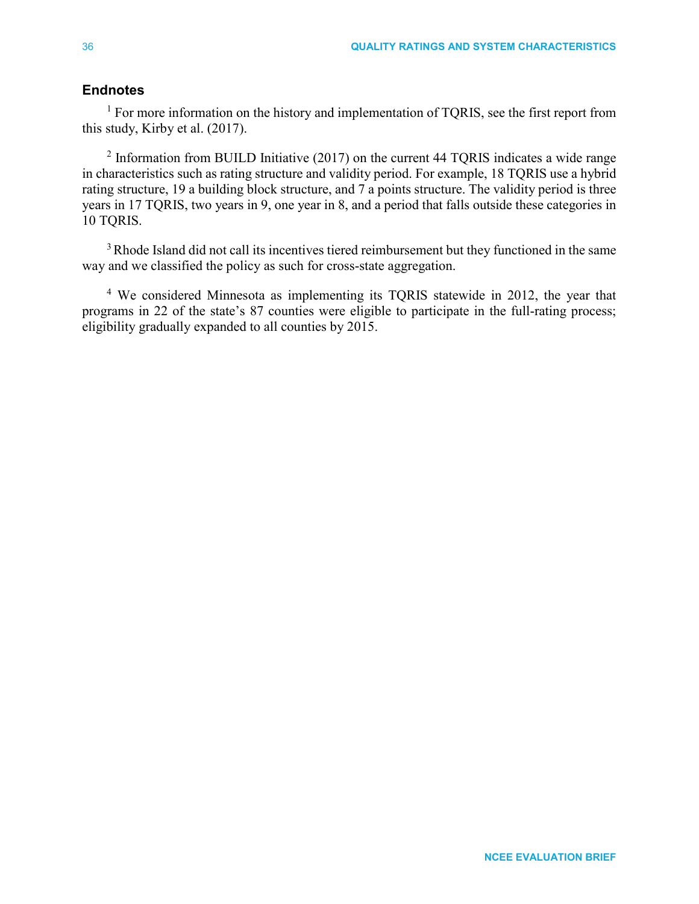# **Endnotes**

<span id="page-35-0"></span> $<sup>1</sup>$  For more information on the history and implementation of TQRIS, see the first report from</sup> this study, Kirby et al. (2017).

<span id="page-35-1"></span> $2$  Information from BUILD Initiative (2017) on the current 44 TQRIS indicates a wide range in characteristics such as rating structure and validity period. For example, 18 TQRIS use a hybrid rating structure, 19 a building block structure, and 7 a points structure. The validity period is three years in 17 TQRIS, two years in 9, one year in 8, and a period that falls outside these categories in 10 TQRIS.

<span id="page-35-2"></span><sup>3</sup> Rhode Island did not call its incentives tiered reimbursement but they functioned in the same way and we classified the policy as such for cross-state aggregation.

<span id="page-35-3"></span><sup>4</sup> We considered Minnesota as implementing its TQRIS statewide in 2012, the year that programs in 22 of the state's 87 counties were eligible to participate in the full-rating process; eligibility gradually expanded to all counties by 2015.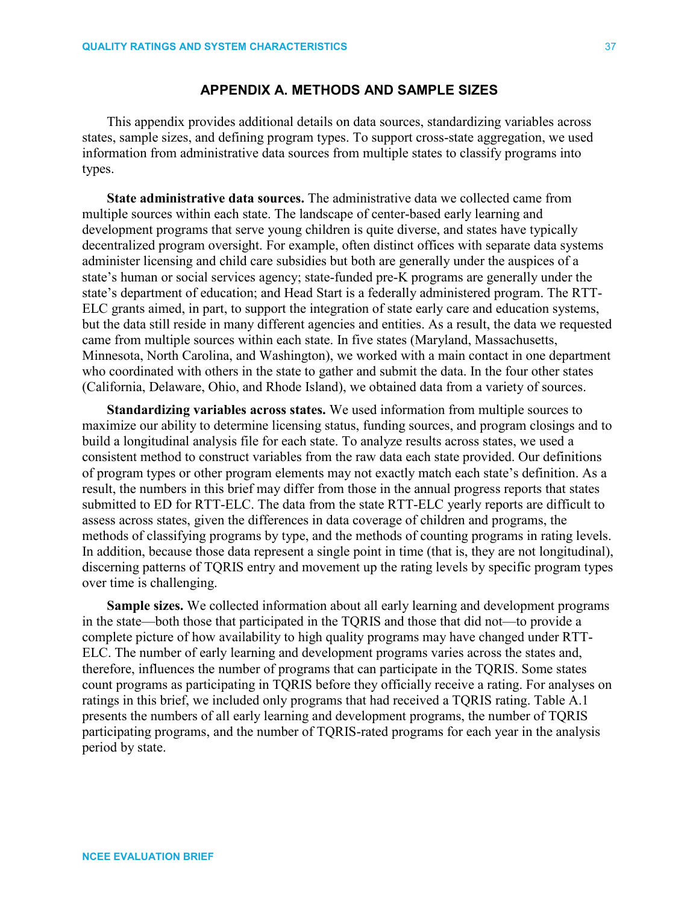# **APPENDIX A. METHODS AND SAMPLE SIZES**

This appendix provides additional details on data sources, standardizing variables across states, sample sizes, and defining program types. To support cross-state aggregation, we used information from administrative data sources from multiple states to classify programs into types.

**State administrative data sources.** The administrative data we collected came from multiple sources within each state. The landscape of center-based early learning and development programs that serve young children is quite diverse, and states have typically decentralized program oversight. For example, often distinct offices with separate data systems administer licensing and child care subsidies but both are generally under the auspices of a state's human or social services agency; state-funded pre-K programs are generally under the state's department of education; and Head Start is a federally administered program. The RTT-ELC grants aimed, in part, to support the integration of state early care and education systems, but the data still reside in many different agencies and entities. As a result, the data we requested came from multiple sources within each state. In five states (Maryland, Massachusetts, Minnesota, North Carolina, and Washington), we worked with a main contact in one department who coordinated with others in the state to gather and submit the data. In the four other states (California, Delaware, Ohio, and Rhode Island), we obtained data from a variety of sources.

**Standardizing variables across states.** We used information from multiple sources to maximize our ability to determine licensing status, funding sources, and program closings and to build a longitudinal analysis file for each state. To analyze results across states, we used a consistent method to construct variables from the raw data each state provided. Our definitions of program types or other program elements may not exactly match each state's definition. As a result, the numbers in this brief may differ from those in the annual progress reports that states submitted to ED for RTT-ELC. The data from the state RTT-ELC yearly reports are difficult to assess across states, given the differences in data coverage of children and programs, the methods of classifying programs by type, and the methods of counting programs in rating levels. In addition, because those data represent a single point in time (that is, they are not longitudinal), discerning patterns of TQRIS entry and movement up the rating levels by specific program types over time is challenging.

**Sample sizes.** We collected information about all early learning and development programs in the state—both those that participated in the TQRIS and those that did not—to provide a complete picture of how availability to high quality programs may have changed under RTT-ELC. The number of early learning and development programs varies across the states and, therefore, influences the number of programs that can participate in the TQRIS. Some states count programs as participating in TQRIS before they officially receive a rating. For analyses on ratings in this brief, we included only programs that had received a TQRIS rating. Table A.1 presents the numbers of all early learning and development programs, the number of TQRIS participating programs, and the number of TQRIS-rated programs for each year in the analysis period by state.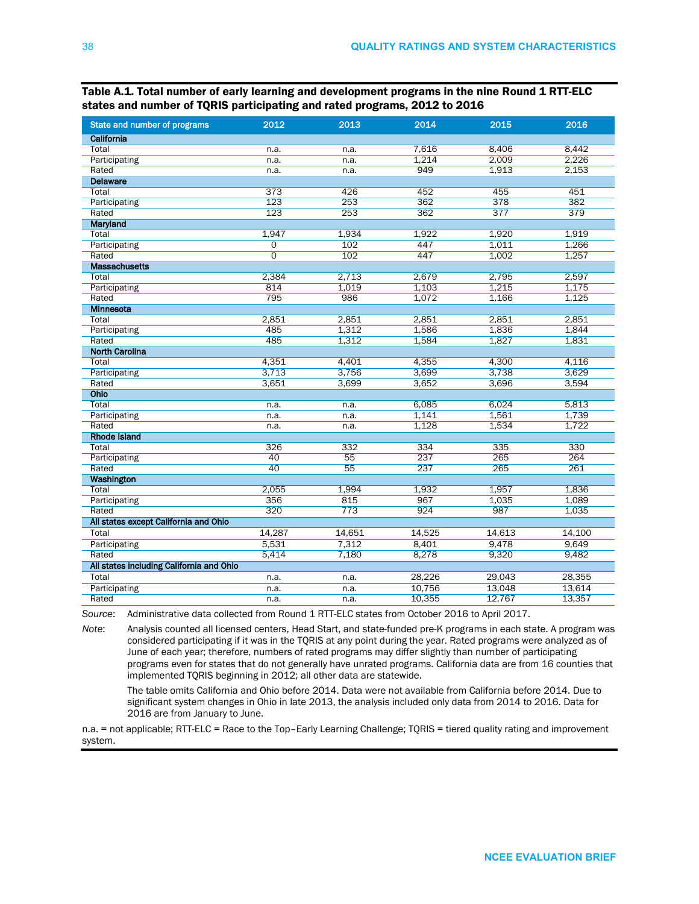| State and number of programs             | 2012           | 2013   | 2014   | 2015   | 2016   |
|------------------------------------------|----------------|--------|--------|--------|--------|
| California                               |                |        |        |        |        |
| Total                                    | n.a.           | n.a.   | 7,616  | 8,406  | 8,442  |
| Participating                            | n.a.           | n.a.   | 1.214  | 2.009  | 2,226  |
| Rated                                    | n.a.           | n.a.   | 949    | 1,913  | 2,153  |
| <b>Delaware</b>                          |                |        |        |        |        |
| Total                                    | 373            | 426    | 452    | 455    | 451    |
| Participating                            | 123            | 253    | 362    | 378    | 382    |
| Rated                                    | 123            | 253    | 362    | 377    | 379    |
| Maryland                                 |                |        |        |        |        |
| Total                                    | 1,947          | 1,934  | 1,922  | 1,920  | 1,919  |
| Participating                            | 0              | 102    | 447    | 1.011  | 1,266  |
| Rated                                    | $\overline{0}$ | 102    | 447    | 1.002  | 1,257  |
| <b>Massachusetts</b>                     |                |        |        |        |        |
| Total                                    | 2,384          | 2,713  | 2,679  | 2,795  | 2,597  |
| Participating                            | 814            | 1,019  | 1,103  | 1,215  | 1,175  |
| Rated                                    | 795            | 986    | 1,072  | 1,166  | 1,125  |
| <b>Minnesota</b>                         |                |        |        |        |        |
| Total                                    | 2,851          | 2,851  | 2,851  | 2,851  | 2,851  |
| Participating                            | 485            | 1.312  | 1,586  | 1,836  | 1,844  |
| Rated                                    | 485            | 1,312  | 1,584  | 1,827  | 1,831  |
| <b>North Carolina</b>                    |                |        |        |        |        |
| Total                                    | 4,351          | 4,401  | 4,355  | 4,300  | 4,116  |
| Participating                            | 3,713          | 3,756  | 3,699  | 3,738  | 3,629  |
| Rated                                    | 3,651          | 3,699  | 3,652  | 3,696  | 3,594  |
| Ohio                                     |                |        |        |        |        |
| Total                                    | n.a.           | n.a.   | 6,085  | 6,024  | 5,813  |
| Participating                            | n.a.           | n.a.   | 1,141  | 1,561  | 1,739  |
| Rated                                    | n.a.           | n.a.   | 1.128  | 1,534  | 1,722  |
| <b>Rhode Island</b>                      |                |        |        |        |        |
| Total                                    | 326            | 332    | 334    | 335    | 330    |
| Participating                            | 40             | 55     | 237    | 265    | 264    |
| Rated                                    | 40             | 55     | 237    | 265    | 261    |
| Washington                               |                |        |        |        |        |
| Total                                    | 2,055          | 1,994  | 1,932  | 1,957  | 1,836  |
| Participating                            | 356            | 815    | 967    | 1.035  | 1.089  |
| Rated                                    | 320            | 773    | 924    | 987    | 1,035  |
| All states except California and Ohio    |                |        |        |        |        |
| Total                                    | 14,287         | 14,651 | 14,525 | 14,613 | 14,100 |
| Participating                            | 5,531          | 7,312  | 8.401  | 9.478  | 9.649  |
| Rated                                    | 5,414          | 7,180  | 8,278  | 9,320  | 9,482  |
| All states including California and Ohio |                |        |        |        |        |
| Total                                    | n.a.           | n.a.   | 28,226 | 29,043 | 28,355 |
| Participating                            | n.a.           | n.a.   | 10,756 | 13,048 | 13,614 |
| Rated                                    | n.a.           | n.a.   | 10,355 | 12,767 | 13,357 |

Table A.1. Total number of early learning and development programs in the nine Round 1 RTT-ELC states and number of TQRIS participating and rated programs, 2012 to 2016

*Source*: Administrative data collected from Round 1 RTT-ELC states from October 2016 to April 2017.

*Note*: Analysis counted all licensed centers, Head Start, and state-funded pre-K programs in each state. A program was considered participating if it was in the TQRIS at any point during the year. Rated programs were analyzed as of June of each year; therefore, numbers of rated programs may differ slightly than number of participating programs even for states that do not generally have unrated programs. California data are from 16 counties that implemented TQRIS beginning in 2012; all other data are statewide.

The table omits California and Ohio before 2014. Data were not available from California before 2014. Due to significant system changes in Ohio in late 2013, the analysis included only data from 2014 to 2016. Data for 2016 are from January to June.

n.a. = not applicable; RTT-ELC = Race to the Top–Early Learning Challenge; TQRIS = tiered quality rating and improvement system.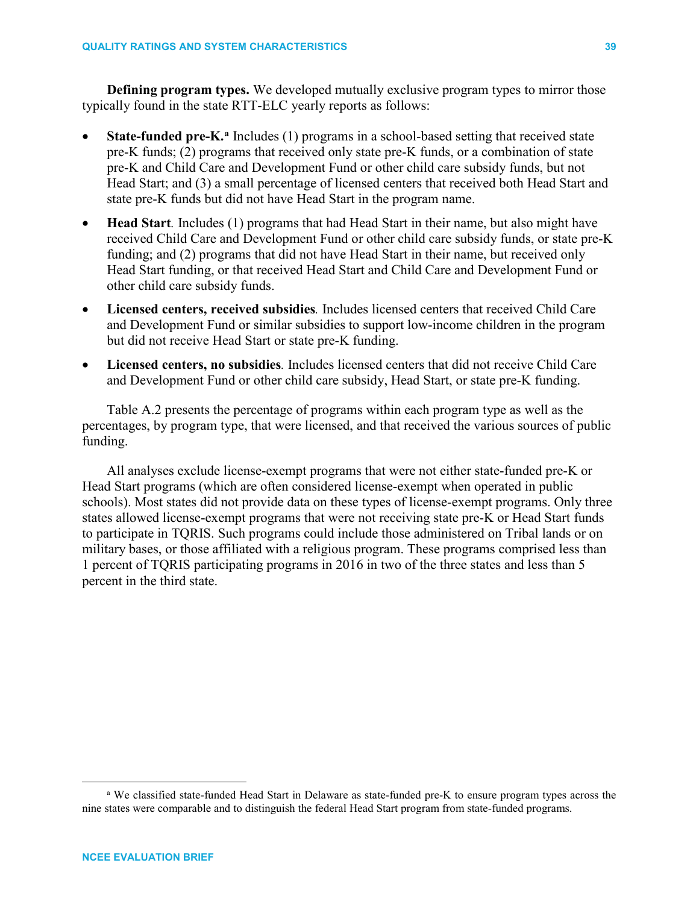**Defining program types.** We developed mutually exclusive program types to mirror those typically found in the state RTT-ELC yearly reports as follows:

- **St[a](#page-38-0)te-funded pre-K.**<sup>a</sup> Includes (1) programs in a school-based setting that received state pre-K funds; (2) programs that received only state pre-K funds, or a combination of state pre-K and Child Care and Development Fund or other child care subsidy funds, but not Head Start; and (3) a small percentage of licensed centers that received both Head Start and state pre-K funds but did not have Head Start in the program name.
- **Head Start**. Includes (1) programs that had Head Start in their name, but also might have received Child Care and Development Fund or other child care subsidy funds, or state pre-K funding; and (2) programs that did not have Head Start in their name, but received only Head Start funding, or that received Head Start and Child Care and Development Fund or other child care subsidy funds.
- **Licensed centers, received subsidies***.* Includes licensed centers that received Child Care and Development Fund or similar subsidies to support low-income children in the program but did not receive Head Start or state pre-K funding.
- **Licensed centers, no subsidies***.* Includes licensed centers that did not receive Child Care and Development Fund or other child care subsidy, Head Start, or state pre-K funding.

Table A.2 presents the percentage of programs within each program type as well as the percentages, by program type, that were licensed, and that received the various sources of public funding.

All analyses exclude license-exempt programs that were not either state-funded pre-K or Head Start programs (which are often considered license-exempt when operated in public schools). Most states did not provide data on these types of license-exempt programs. Only three states allowed license-exempt programs that were not receiving state pre-K or Head Start funds to participate in TQRIS. Such programs could include those administered on Tribal lands or on military bases, or those affiliated with a religious program. These programs comprised less than 1 percent of TQRIS participating programs in 2016 in two of the three states and less than 5 percent in the third state.

<span id="page-38-0"></span>a We classified state-funded Head Start in Delaware as state-funded pre-K to ensure program types across the nine states were comparable and to distinguish the federal Head Start program from state-funded programs.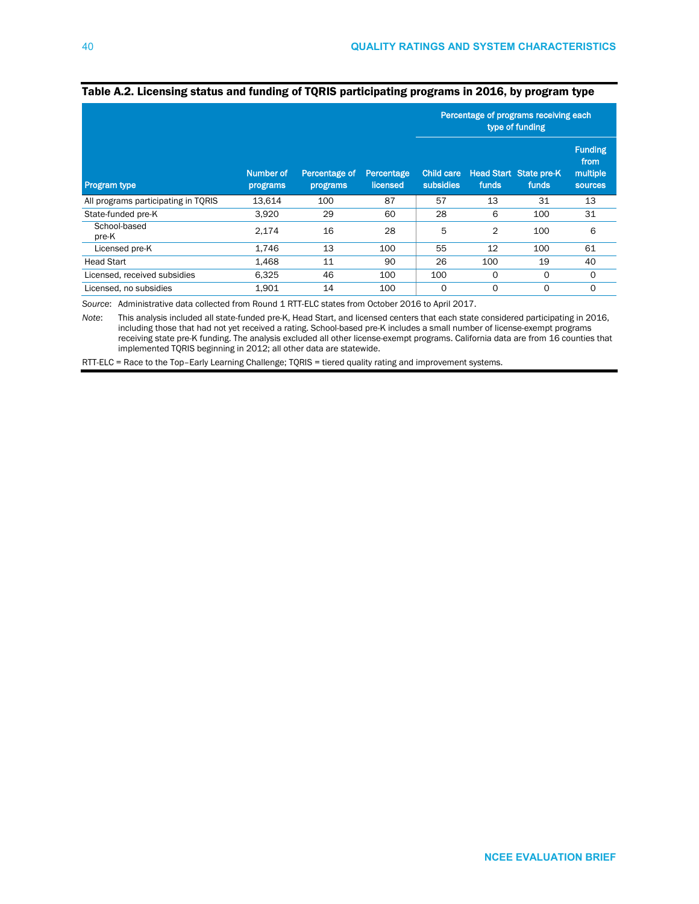|                                     |                       |                           |                        | Percentage of programs receiving each<br>type of funding |             |                                        |                                                      |
|-------------------------------------|-----------------------|---------------------------|------------------------|----------------------------------------------------------|-------------|----------------------------------------|------------------------------------------------------|
| Program type                        | Number of<br>programs | Percentage of<br>programs | Percentage<br>licensed | <b>Child care</b><br>subsidies                           | funds       | <b>Head Start State pre-K</b><br>funds | <b>Funding</b><br>from<br>multiple<br><b>sources</b> |
| All programs participating in TQRIS | 13.614                | 100                       | 87                     | 57                                                       | 13          | 31                                     | 13                                                   |
| State-funded pre-K                  | 3,920                 | 29                        | 60                     | 28                                                       | 6           | 100                                    | 31                                                   |
| School-based<br>pre-K               | 2,174                 | 16                        | 28                     | 5                                                        | 2           | 100                                    | 6                                                    |
| Licensed pre-K                      | 1,746                 | 13                        | 100                    | 55                                                       | 12          | 100                                    | 61                                                   |
| <b>Head Start</b>                   | 1,468                 | 11                        | 90                     | 26                                                       | 100         | 19                                     | 40                                                   |
| Licensed, received subsidies        | 6,325                 | 46                        | 100                    | 100                                                      | O           | O                                      | $\Omega$                                             |
| Licensed, no subsidies              | 1,901                 | 14                        | 100                    | 0                                                        | $\mathbf 0$ | O                                      | $\mathbf 0$                                          |

### Table A.2. Licensing status and funding of TQRIS participating programs in 2016, by program type

*Source*: Administrative data collected from Round 1 RTT-ELC states from October 2016 to April 2017.

*Note*: This analysis included all state-funded pre-K, Head Start, and licensed centers that each state considered participating in 2016, including those that had not yet received a rating. School-based pre-K includes a small number of license-exempt programs receiving state pre-K funding. The analysis excluded all other license-exempt programs. California data are from 16 counties that implemented TQRIS beginning in 2012; all other data are statewide.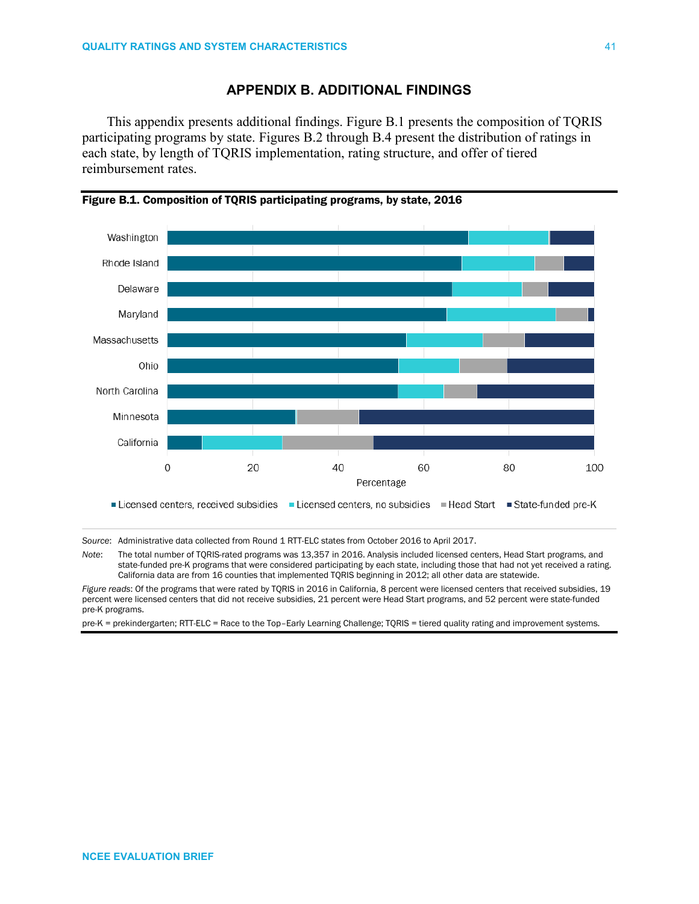# **APPENDIX B. ADDITIONAL FINDINGS**

This appendix presents additional findings. Figure B.1 presents the composition of TQRIS participating programs by state. Figures B.2 through B.4 present the distribution of ratings in each state, by length of TQRIS implementation, rating structure, and offer of tiered reimbursement rates.



Figure B.1. Composition of TQRIS participating programs, by state, 2016

*Source*: Administrative data collected from Round 1 RTT-ELC states from October 2016 to April 2017.

*Note*: The total number of TQRIS-rated programs was 13,357 in 2016. Analysis included licensed centers, Head Start programs, and state-funded pre-K programs that were considered participating by each state, including those that had not yet received a rating. California data are from 16 counties that implemented TQRIS beginning in 2012; all other data are statewide.

*Figure reads*: Of the programs that were rated by TQRIS in 2016 in California, 8 percent were licensed centers that received subsidies, 19 percent were licensed centers that did not receive subsidies, 21 percent were Head Start programs, and 52 percent were state-funded pre-K programs.

pre-K = prekindergarten; RTT-ELC = Race to the Top–Early Learning Challenge; TQRIS = tiered quality rating and improvement systems.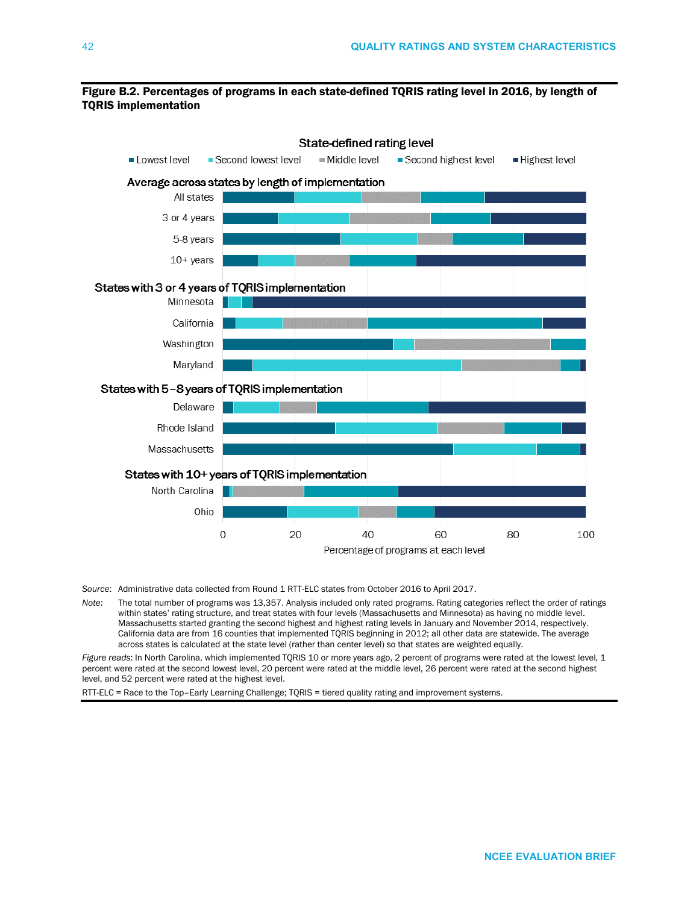### Figure B.2. Percentages of programs in each state-defined TQRIS rating level in 2016, by length of TQRIS implementation



*Source*: Administrative data collected from Round 1 RTT-ELC states from October 2016 to April 2017.

*Note*: The total number of programs was 13,357. Analysis included only rated programs. Rating categories reflect the order of ratings within states' rating structure, and treat states with four levels (Massachusetts and Minnesota) as having no middle level. Massachusetts started granting the second highest and highest rating levels in January and November 2014, respectively. California data are from 16 counties that implemented TQRIS beginning in 2012; all other data are statewide. The average across states is calculated at the state level (rather than center level) so that states are weighted equally.

*Figure reads*: In North Carolina, which implemented TQRIS 10 or more years ago, 2 percent of programs were rated at the lowest level, 1 percent were rated at the second lowest level, 20 percent were rated at the middle level, 26 percent were rated at the second highest level, and 52 percent were rated at the highest level.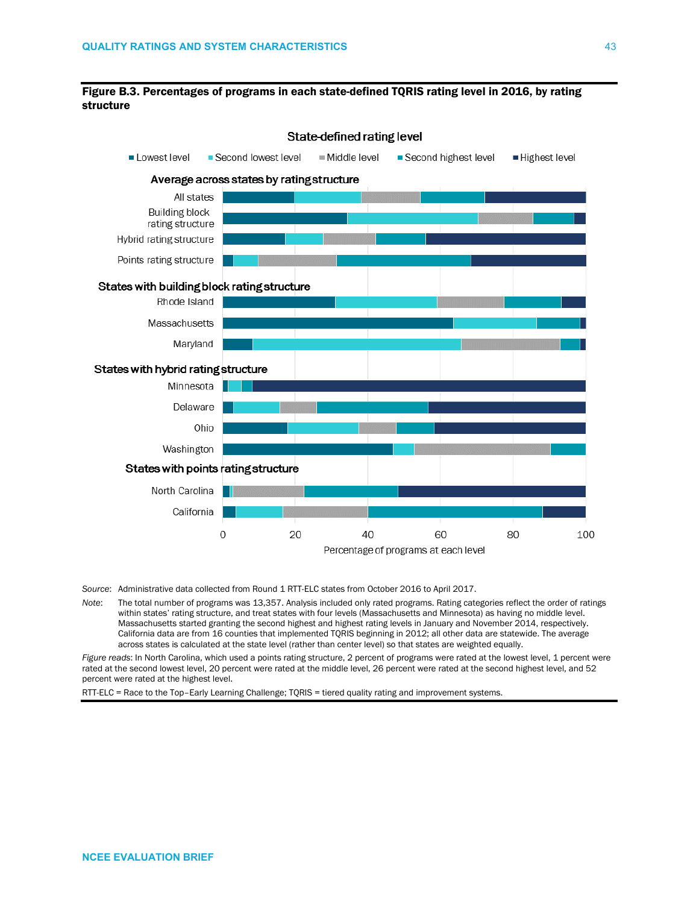



*Source*: Administrative data collected from Round 1 RTT-ELC states from October 2016 to April 2017.

*Note*: The total number of programs was 13,357. Analysis included only rated programs. Rating categories reflect the order of ratings within states' rating structure, and treat states with four levels (Massachusetts and Minnesota) as having no middle level. Massachusetts started granting the second highest and highest rating levels in January and November 2014, respectively. California data are from 16 counties that implemented TQRIS beginning in 2012; all other data are statewide. The average across states is calculated at the state level (rather than center level) so that states are weighted equally.

*Figure reads*: In North Carolina, which used a points rating structure, 2 percent of programs were rated at the lowest level, 1 percent were rated at the second lowest level, 20 percent were rated at the middle level, 26 percent were rated at the second highest level, and 52 percent were rated at the highest level.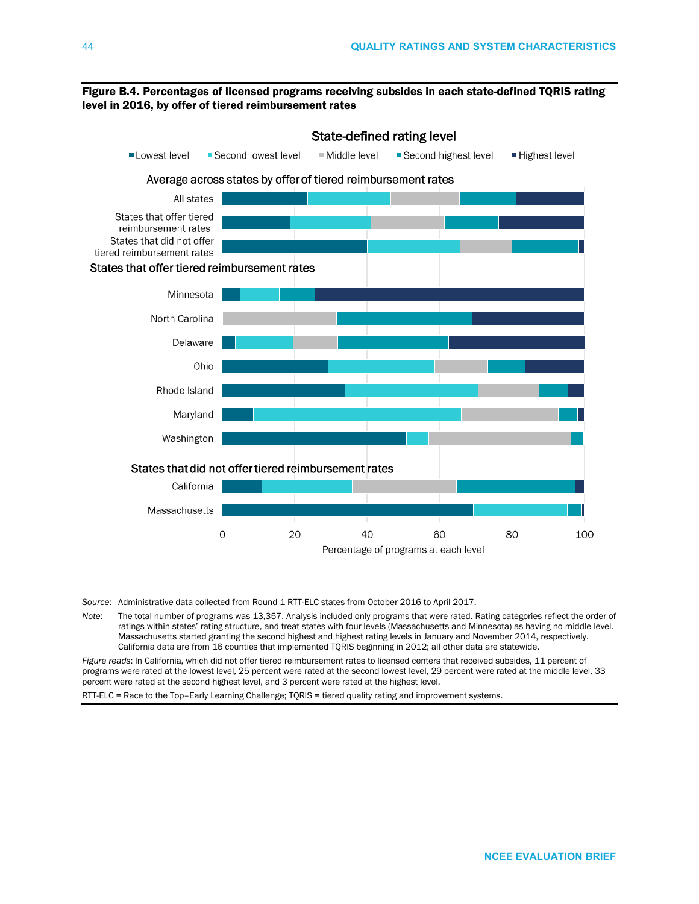### Figure B.4. Percentages of licensed programs receiving subsides in each state-defined TQRIS rating level in 2016, by offer of tiered reimbursement rates



*Source*: Administrative data collected from Round 1 RTT-ELC states from October 2016 to April 2017.

*Note*: The total number of programs was 13,357. Analysis included only programs that were rated. Rating categories reflect the order of ratings within states' rating structure, and treat states with four levels (Massachusetts and Minnesota) as having no middle level. Massachusetts started granting the second highest and highest rating levels in January and November 2014, respectively. California data are from 16 counties that implemented TQRIS beginning in 2012; all other data are statewide.

*Figure reads*: In California, which did not offer tiered reimbursement rates to licensed centers that received subsides, 11 percent of programs were rated at the lowest level, 25 percent were rated at the second lowest level, 29 percent were rated at the middle level, 33 percent were rated at the second highest level, and 3 percent were rated at the highest level.